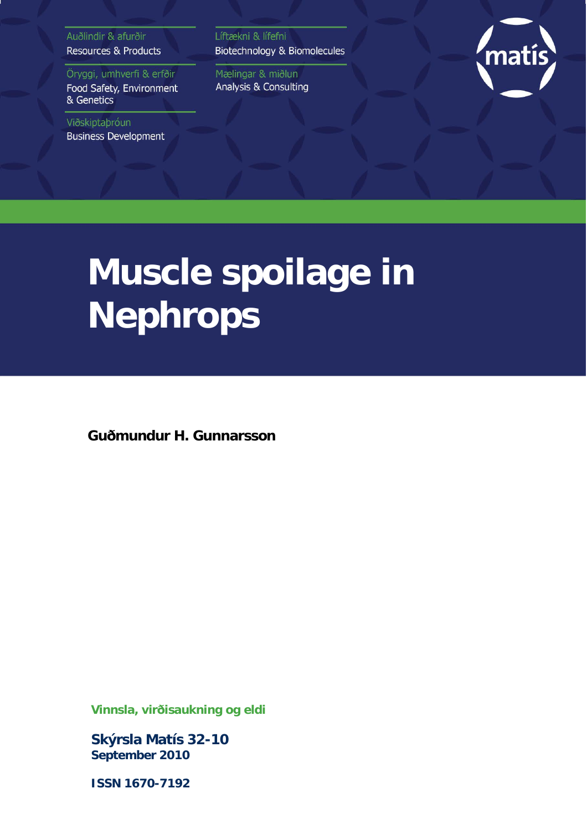Auðlindir & afurðir **Resources & Products** 

Öryggi, umhverfi & erfðir Food Safety, Environment & Genetics

Viðskiptaþróun **Business Development**  Líftækni & lífefni Biotechnology & Biomolecules

Mælingar & miðlun Analysis & Consulting



# **Muscle spoilage in Nephrops**

**Guðmundur H. Gunnarsson**

**Vinnsla, virðisaukning og eldi**

**Skýrsla Matís 32-10 September 2010**

**ISSN 1670-7192**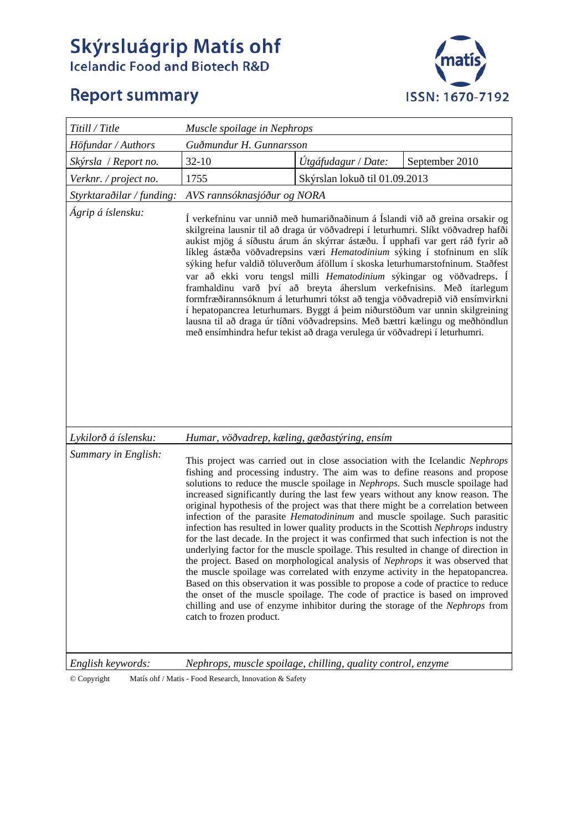# **Skýrsluágrip Matís ohf**<br>Icelandic Food and Biotech R&D

# **Report summary**



| Titill / Title            | Muscle spoilage in Nephrops                                                                                                                                                                                                                                                                                                                                                                                                                                                                                                                                                                                                                                                                                                                                                                                                                                                                                                                                                                                                                                                                                                                                                                                                   |                               |                |
|---------------------------|-------------------------------------------------------------------------------------------------------------------------------------------------------------------------------------------------------------------------------------------------------------------------------------------------------------------------------------------------------------------------------------------------------------------------------------------------------------------------------------------------------------------------------------------------------------------------------------------------------------------------------------------------------------------------------------------------------------------------------------------------------------------------------------------------------------------------------------------------------------------------------------------------------------------------------------------------------------------------------------------------------------------------------------------------------------------------------------------------------------------------------------------------------------------------------------------------------------------------------|-------------------------------|----------------|
| Höfundar / Authors        | Guðmundur H. Gunnarsson                                                                                                                                                                                                                                                                                                                                                                                                                                                                                                                                                                                                                                                                                                                                                                                                                                                                                                                                                                                                                                                                                                                                                                                                       |                               |                |
| Skýrsla / Report no.      | $32 - 10$                                                                                                                                                                                                                                                                                                                                                                                                                                                                                                                                                                                                                                                                                                                                                                                                                                                                                                                                                                                                                                                                                                                                                                                                                     | Útgáfudagur / Date:           | September 2010 |
| Verknr. / project no.     | 1755                                                                                                                                                                                                                                                                                                                                                                                                                                                                                                                                                                                                                                                                                                                                                                                                                                                                                                                                                                                                                                                                                                                                                                                                                          | Skýrslan lokuð til 01.09.2013 |                |
| Styrktaraðilar / funding: | AVS rannsóknasjóður og NORA                                                                                                                                                                                                                                                                                                                                                                                                                                                                                                                                                                                                                                                                                                                                                                                                                                                                                                                                                                                                                                                                                                                                                                                                   |                               |                |
| Ágrip á íslensku:         | Í verkefninu var unnið með humariðnaðinum á Íslandi við að greina orsakir og<br>skilgreina lausnir til að draga úr vöðvadrepi í leturhumri. Slíkt vöðvadrep hafði<br>aukist mjög á síðustu árum án skýrrar ástæðu. Í upphafi var gert ráð fyrir að<br>líkleg ástæða vöðvadrepsins væri Hematodinium sýking í stofninum en slík<br>sýking hefur valdið töluverðum áföllum í skoska leturhumarstofninum. Staðfest<br>var að ekki voru tengsl milli Hematodinium sýkingar og vöðvadreps. Í<br>framhaldinu varð því að breyta áherslum verkefnisins. Með ítarlegum<br>formfræðirannsóknum á leturhumri tókst að tengja vöðvadrepið við ensímvirkni<br>í hepatopancrea leturhumars. Byggt á þeim niðurstöðum var unnin skilgreining<br>lausna til að draga úr tíðni vöðvadrepsins. Með bættri kælingu og meðhöndlun<br>með ensímhindra hefur tekist að draga verulega úr vöðvadrepi í leturhumri.                                                                                                                                                                                                                                                                                                                                  |                               |                |
| Lykilorð á íslensku:      | Humar, vöðvadrep, kæling, gæðastýring, ensím                                                                                                                                                                                                                                                                                                                                                                                                                                                                                                                                                                                                                                                                                                                                                                                                                                                                                                                                                                                                                                                                                                                                                                                  |                               |                |
| Summary in English:       | This project was carried out in close association with the Icelandic Nephrops<br>fishing and processing industry. The aim was to define reasons and propose<br>solutions to reduce the muscle spoilage in Nephrops. Such muscle spoilage had<br>increased significantly during the last few years without any know reason. The<br>original hypothesis of the project was that there might be a correlation between<br>infection of the parasite <i>Hematodininum</i> and muscle spoilage. Such parasitic<br>infection has resulted in lower quality products in the Scottish Nephrops industry<br>for the last decade. In the project it was confirmed that such infection is not the<br>underlying factor for the muscle spoilage. This resulted in change of direction in<br>the project. Based on morphological analysis of Nephrops it was observed that<br>the muscle spoilage was correlated with enzyme activity in the hepatopancrea.<br>Based on this observation it was possible to propose a code of practice to reduce<br>the onset of the muscle spoilage. The code of practice is based on improved<br>chilling and use of enzyme inhibitor during the storage of the Nephrops from<br>catch to frozen product. |                               |                |
| English keywords:         | Nephrops, muscle spoilage, chilling, quality control, enzyme                                                                                                                                                                                                                                                                                                                                                                                                                                                                                                                                                                                                                                                                                                                                                                                                                                                                                                                                                                                                                                                                                                                                                                  |                               |                |

© Copyright Matís ohf / Matis - Food Research, Innovation & Safety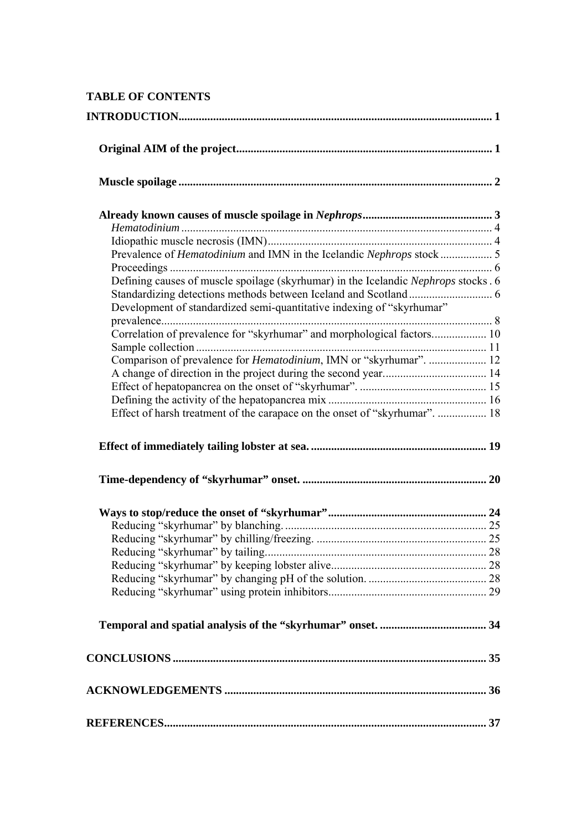## **TABLE OF CONTENTS**

| Defining causes of muscle spoilage (skyrhumar) in the Icelandic Nephrops stocks . 6 |  |
|-------------------------------------------------------------------------------------|--|
|                                                                                     |  |
| Development of standardized semi-quantitative indexing of "skyrhumar"               |  |
| Correlation of prevalence for "skyrhumar" and morphological factors 10              |  |
|                                                                                     |  |
|                                                                                     |  |
| Comparison of prevalence for <i>Hematodinium</i> , IMN or "skyrhumar".  12          |  |
|                                                                                     |  |
|                                                                                     |  |
| Effect of harsh treatment of the carapace on the onset of "skyrhumar".  18          |  |
|                                                                                     |  |
|                                                                                     |  |
|                                                                                     |  |
|                                                                                     |  |
|                                                                                     |  |
|                                                                                     |  |
|                                                                                     |  |
|                                                                                     |  |
|                                                                                     |  |
|                                                                                     |  |
|                                                                                     |  |
|                                                                                     |  |
|                                                                                     |  |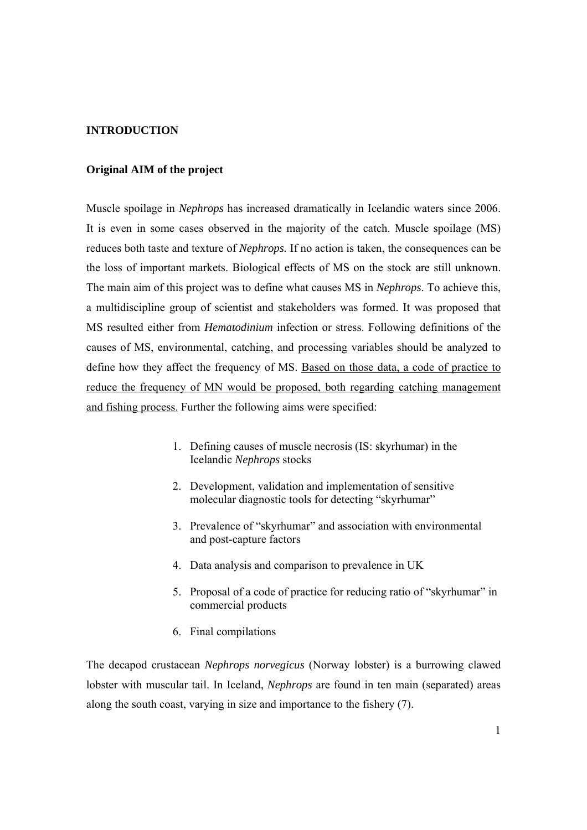#### **INTRODUCTION**

#### **Original AIM of the project**

Muscle spoilage in *Nephrops* has increased dramatically in Icelandic waters since 2006. It is even in some cases observed in the majority of the catch. Muscle spoilage (MS) reduces both taste and texture of *Nephrops.* If no action is taken, the consequences can be the loss of important markets. Biological effects of MS on the stock are still unknown. The main aim of this project was to define what causes MS in *Nephrops*. To achieve this, a multidiscipline group of scientist and stakeholders was formed. It was proposed that MS resulted either from *Hematodinium* infection or stress. Following definitions of the causes of MS, environmental, catching, and processing variables should be analyzed to define how they affect the frequency of MS. Based on those data, a code of practice to reduce the frequency of MN would be proposed, both regarding catching management and fishing process. Further the following aims were specified:

- 1. Defining causes of muscle necrosis (IS: skyrhumar) in the Icelandic *Nephrops* stocks
- 2. Development, validation and implementation of sensitive molecular diagnostic tools for detecting "skyrhumar"
- 3. Prevalence of "skyrhumar" and association with environmental and post-capture factors
- 4. Data analysis and comparison to prevalence in UK
- 5. Proposal of a code of practice for reducing ratio of "skyrhumar" in commercial products
- 6. Final compilations

The decapod crustacean *Nephrops norvegicus* (Norway lobster) is a burrowing clawed lobster with muscular tail. In Iceland, *Nephrops* are found in ten main (separated) areas along the south coast, varying in size and importance to the fishery (7).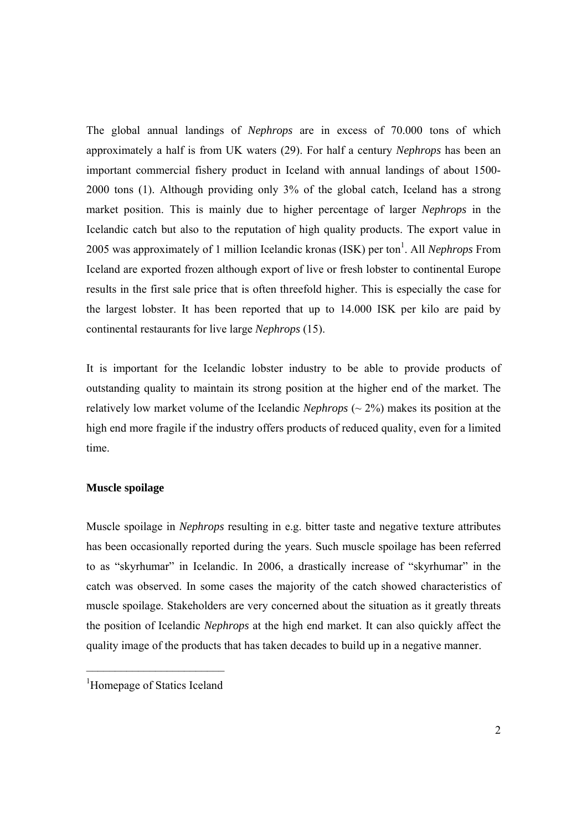The global annual landings of *Nephrops* are in excess of 70.000 tons of which approximately a half is from UK waters (29). For half a century *Nephrops* has been an important commercial fishery product in Iceland with annual landings of about 1500- 2000 tons (1). Although providing only 3% of the global catch, Iceland has a strong market position. This is mainly due to higher percentage of larger *Nephrops* in the Icelandic catch but also to the reputation of high quality products. The export value in 2005 was approximately of 1 million Icelandic kronas (ISK) per ton<sup>1</sup>. All *Nephrops* From Iceland are exported frozen although export of live or fresh lobster to continental Europe results in the first sale price that is often threefold higher. This is especially the case for the largest lobster. It has been reported that up to 14.000 ISK per kilo are paid by continental restaurants for live large *Nephrops* (15).

It is important for the Icelandic lobster industry to be able to provide products of outstanding quality to maintain its strong position at the higher end of the market. The relatively low market volume of the Icelandic *Nephrops* (~ 2%) makes its position at the high end more fragile if the industry offers products of reduced quality, even for a limited time.

#### **Muscle spoilage**

Muscle spoilage in *Nephrops* resulting in e.g. bitter taste and negative texture attributes has been occasionally reported during the years. Such muscle spoilage has been referred to as "skyrhumar" in Icelandic. In 2006, a drastically increase of "skyrhumar" in the catch was observed. In some cases the majority of the catch showed characteristics of muscle spoilage. Stakeholders are very concerned about the situation as it greatly threats the position of Icelandic *Nephrops* at the high end market. It can also quickly affect the quality image of the products that has taken decades to build up in a negative manner.

 $\mathcal{L}_\text{max}$ 

<sup>&</sup>lt;sup>1</sup>Homepage of Statics Iceland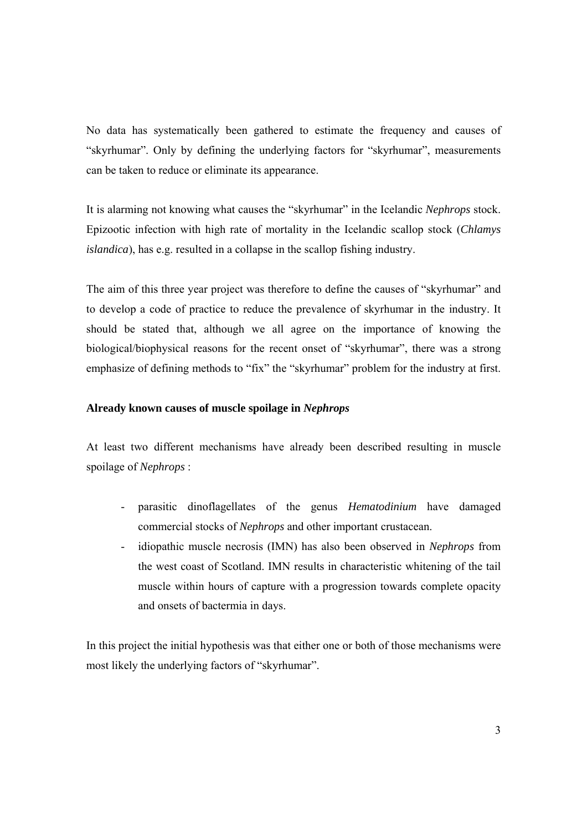No data has systematically been gathered to estimate the frequency and causes of "skyrhumar". Only by defining the underlying factors for "skyrhumar", measurements can be taken to reduce or eliminate its appearance.

It is alarming not knowing what causes the "skyrhumar" in the Icelandic *Nephrops* stock. Epizootic infection with high rate of mortality in the Icelandic scallop stock (*Chlamys islandica*), has e.g. resulted in a collapse in the scallop fishing industry.

The aim of this three year project was therefore to define the causes of "skyrhumar" and to develop a code of practice to reduce the prevalence of skyrhumar in the industry. It should be stated that, although we all agree on the importance of knowing the biological/biophysical reasons for the recent onset of "skyrhumar", there was a strong emphasize of defining methods to "fix" the "skyrhumar" problem for the industry at first.

#### **Already known causes of muscle spoilage in** *Nephrops*

At least two different mechanisms have already been described resulting in muscle spoilage of *Nephrops* :

- parasitic dinoflagellates of the genus *Hematodinium* have damaged commercial stocks of *Nephrops* and other important crustacean.
- idiopathic muscle necrosis (IMN) has also been observed in *Nephrops* from the west coast of Scotland. IMN results in characteristic whitening of the tail muscle within hours of capture with a progression towards complete opacity and onsets of bactermia in days.

In this project the initial hypothesis was that either one or both of those mechanisms were most likely the underlying factors of "skyrhumar".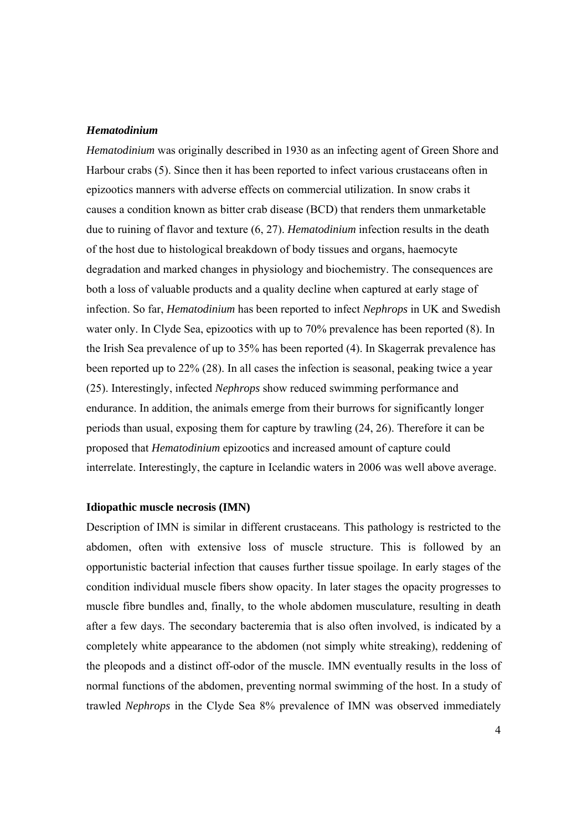#### *Hematodinium*

*Hematodinium* was originally described in 1930 as an infecting agent of Green Shore and Harbour crabs (5). Since then it has been reported to infect various crustaceans often in epizootics manners with adverse effects on commercial utilization. In snow crabs it causes a condition known as bitter crab disease (BCD) that renders them unmarketable due to ruining of flavor and texture (6, 27). *Hematodinium* infection results in the death of the host due to histological breakdown of body tissues and organs, haemocyte degradation and marked changes in physiology and biochemistry. The consequences are both a loss of valuable products and a quality decline when captured at early stage of infection. So far, *Hematodinium* has been reported to infect *Nephrops* in UK and Swedish water only. In Clyde Sea, epizootics with up to 70% prevalence has been reported (8). In the Irish Sea prevalence of up to 35% has been reported (4). In Skagerrak prevalence has been reported up to 22% (28). In all cases the infection is seasonal, peaking twice a year (25). Interestingly, infected *Nephrops* show reduced swimming performance and endurance. In addition, the animals emerge from their burrows for significantly longer periods than usual, exposing them for capture by trawling (24, 26). Therefore it can be proposed that *Hematodinium* epizootics and increased amount of capture could interrelate. Interestingly, the capture in Icelandic waters in 2006 was well above average.

#### **Idiopathic muscle necrosis (IMN)**

Description of IMN is similar in different crustaceans. This pathology is restricted to the abdomen, often with extensive loss of muscle structure. This is followed by an opportunistic bacterial infection that causes further tissue spoilage. In early stages of the condition individual muscle fibers show opacity. In later stages the opacity progresses to muscle fibre bundles and, finally, to the whole abdomen musculature, resulting in death after a few days. The secondary bacteremia that is also often involved, is indicated by a completely white appearance to the abdomen (not simply white streaking), reddening of the pleopods and a distinct off-odor of the muscle. IMN eventually results in the loss of normal functions of the abdomen, preventing normal swimming of the host. In a study of trawled *Nephrops* in the Clyde Sea 8% prevalence of IMN was observed immediately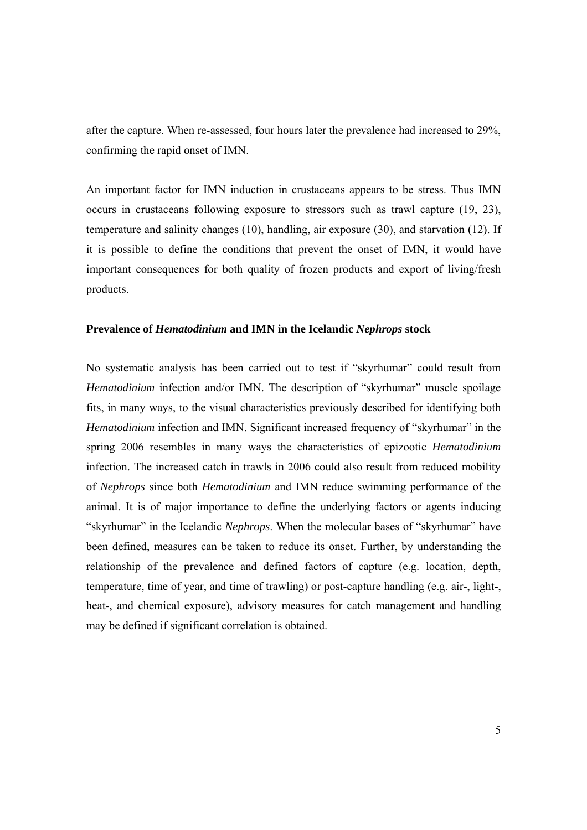after the capture. When re-assessed, four hours later the prevalence had increased to 29%, confirming the rapid onset of IMN.

An important factor for IMN induction in crustaceans appears to be stress. Thus IMN occurs in crustaceans following exposure to stressors such as trawl capture (19, 23), temperature and salinity changes (10), handling, air exposure (30), and starvation (12). If it is possible to define the conditions that prevent the onset of IMN, it would have important consequences for both quality of frozen products and export of living/fresh products.

#### **Prevalence of** *Hematodinium* **and IMN in the Icelandic** *Nephrops* **stock**

No systematic analysis has been carried out to test if "skyrhumar" could result from *Hematodinium* infection and/or IMN. The description of "skyrhumar" muscle spoilage fits, in many ways, to the visual characteristics previously described for identifying both *Hematodinium* infection and IMN. Significant increased frequency of "skyrhumar" in the spring 2006 resembles in many ways the characteristics of epizootic *Hematodinium* infection. The increased catch in trawls in 2006 could also result from reduced mobility of *Nephrops* since both *Hematodinium* and IMN reduce swimming performance of the animal. It is of major importance to define the underlying factors or agents inducing "skyrhumar" in the Icelandic *Nephrops*. When the molecular bases of "skyrhumar" have been defined, measures can be taken to reduce its onset. Further, by understanding the relationship of the prevalence and defined factors of capture (e.g. location, depth, temperature, time of year, and time of trawling) or post-capture handling (e.g. air-, light-, heat-, and chemical exposure), advisory measures for catch management and handling may be defined if significant correlation is obtained.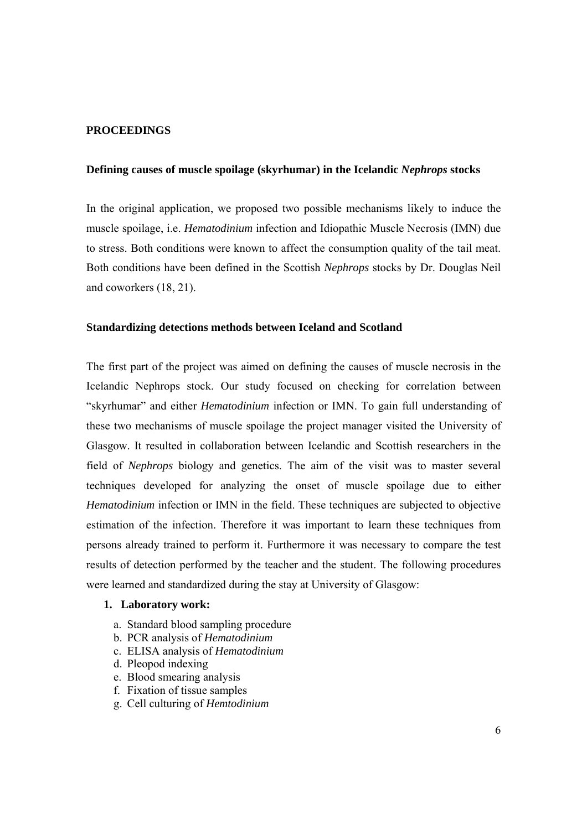#### **PROCEEDINGS**

#### **Defining causes of muscle spoilage (skyrhumar) in the Icelandic** *Nephrops* **stocks**

In the original application, we proposed two possible mechanisms likely to induce the muscle spoilage, i.e. *Hematodinium* infection and Idiopathic Muscle Necrosis (IMN) due to stress. Both conditions were known to affect the consumption quality of the tail meat. Both conditions have been defined in the Scottish *Nephrops* stocks by Dr. Douglas Neil and coworkers (18, 21).

#### **Standardizing detections methods between Iceland and Scotland**

The first part of the project was aimed on defining the causes of muscle necrosis in the Icelandic Nephrops stock. Our study focused on checking for correlation between "skyrhumar" and either *Hematodinium* infection or IMN. To gain full understanding of these two mechanisms of muscle spoilage the project manager visited the University of Glasgow. It resulted in collaboration between Icelandic and Scottish researchers in the field of *Nephrops* biology and genetics. The aim of the visit was to master several techniques developed for analyzing the onset of muscle spoilage due to either *Hematodinium* infection or IMN in the field. These techniques are subjected to objective estimation of the infection. Therefore it was important to learn these techniques from persons already trained to perform it. Furthermore it was necessary to compare the test results of detection performed by the teacher and the student. The following procedures were learned and standardized during the stay at University of Glasgow:

#### **1. Laboratory work:**

- a. Standard blood sampling procedure
- b. PCR analysis of *Hematodinium*
- c. ELISA analysis of *Hematodinium*
- d. Pleopod indexing
- e. Blood smearing analysis
- f. Fixation of tissue samples
- g. Cell culturing of *Hemtodinium*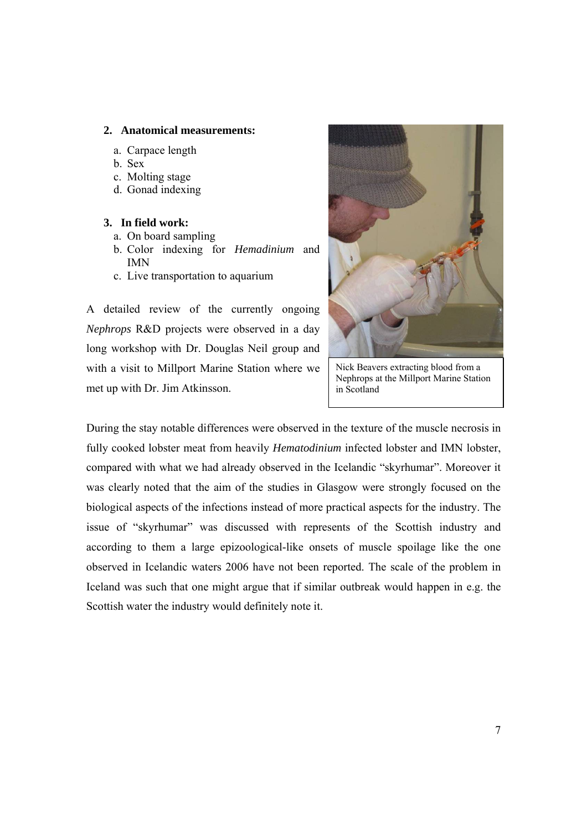#### **2. Anatomical measurements:**

- a. Carpace length
- b. Sex
- c. Molting stage
- d. Gonad indexing

#### **3. In field work:**

- a. On board sampling
- b. Color indexing for *Hemadinium* and IMN
- c. Live transportation to aquarium

A detailed review of the currently ongoing *Nephrops* R&D projects were observed in a day long workshop with Dr. Douglas Neil group and with a visit to Millport Marine Station where we met up with Dr. Jim Atkinsson.



Nick Beavers extracting blood from a Nephrops at the Millport Marine Station in Scotland

During the stay notable differences were observed in the texture of the muscle necrosis in fully cooked lobster meat from heavily *Hematodinium* infected lobster and IMN lobster, compared with what we had already observed in the Icelandic "skyrhumar". Moreover it was clearly noted that the aim of the studies in Glasgow were strongly focused on the biological aspects of the infections instead of more practical aspects for the industry. The issue of "skyrhumar" was discussed with represents of the Scottish industry and according to them a large epizoological-like onsets of muscle spoilage like the one observed in Icelandic waters 2006 have not been reported. The scale of the problem in Iceland was such that one might argue that if similar outbreak would happen in e.g. the Scottish water the industry would definitely note it.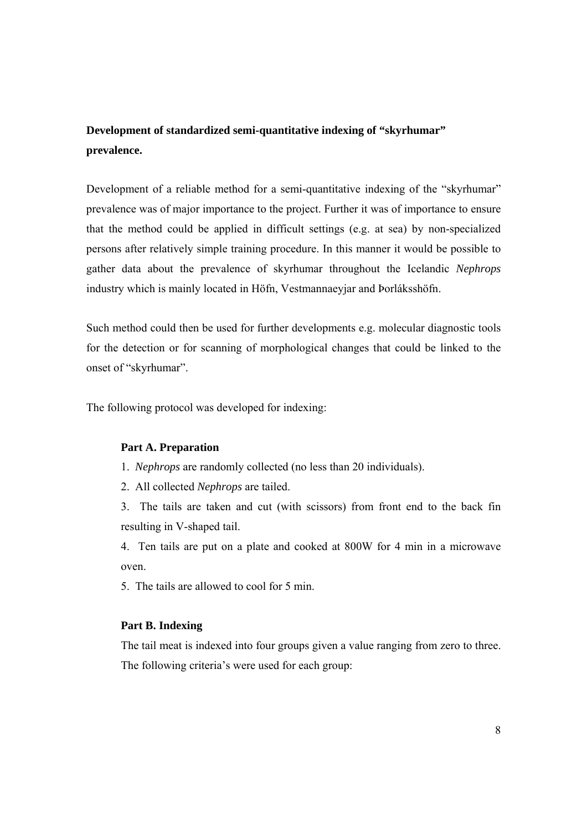### **Development of standardized semi-quantitative indexing of "skyrhumar" prevalence.**

Development of a reliable method for a semi-quantitative indexing of the "skyrhumar" prevalence was of major importance to the project. Further it was of importance to ensure that the method could be applied in difficult settings (e.g. at sea) by non-specialized persons after relatively simple training procedure. In this manner it would be possible to gather data about the prevalence of skyrhumar throughout the Icelandic *Nephrops* industry which is mainly located in Höfn, Vestmannaeyjar and Þorláksshöfn.

Such method could then be used for further developments e.g. molecular diagnostic tools for the detection or for scanning of morphological changes that could be linked to the onset of "skyrhumar".

The following protocol was developed for indexing:

#### **Part A. Preparation**

1. *Nephrops* are randomly collected (no less than 20 individuals).

2. All collected *Nephrops* are tailed.

3. The tails are taken and cut (with scissors) from front end to the back fin resulting in V-shaped tail.

4. Ten tails are put on a plate and cooked at 800W for 4 min in a microwave oven.

5. The tails are allowed to cool for 5 min.

#### **Part B. Indexing**

The tail meat is indexed into four groups given a value ranging from zero to three. The following criteria's were used for each group: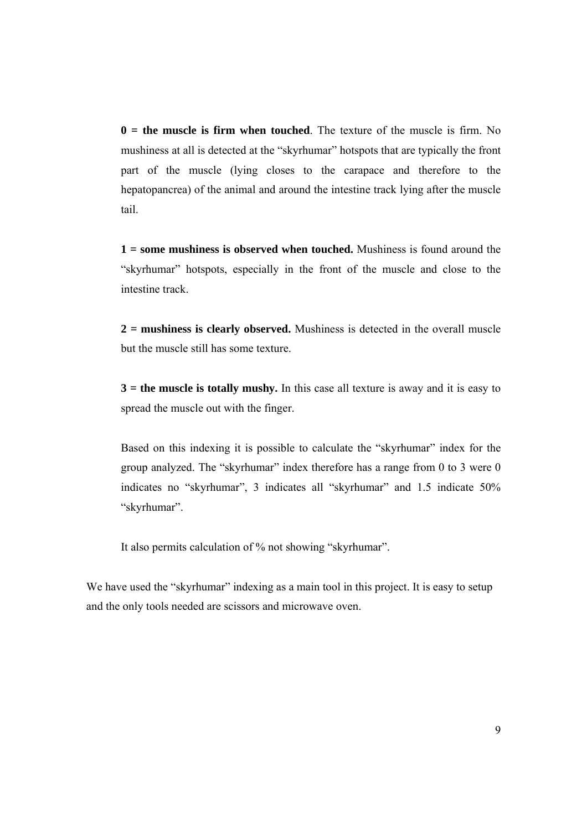**0 = the muscle is firm when touched**. The texture of the muscle is firm. No mushiness at all is detected at the "skyrhumar" hotspots that are typically the front part of the muscle (lying closes to the carapace and therefore to the hepatopancrea) of the animal and around the intestine track lying after the muscle tail.

**1 = some mushiness is observed when touched.** Mushiness is found around the "skyrhumar" hotspots, especially in the front of the muscle and close to the intestine track.

**2 = mushiness is clearly observed.** Mushiness is detected in the overall muscle but the muscle still has some texture.

**3 = the muscle is totally mushy.** In this case all texture is away and it is easy to spread the muscle out with the finger.

Based on this indexing it is possible to calculate the "skyrhumar" index for the group analyzed. The "skyrhumar" index therefore has a range from 0 to 3 were 0 indicates no "skyrhumar", 3 indicates all "skyrhumar" and 1.5 indicate 50% "skyrhumar".

It also permits calculation of % not showing "skyrhumar".

We have used the "skyrhumar" indexing as a main tool in this project. It is easy to setup and the only tools needed are scissors and microwave oven.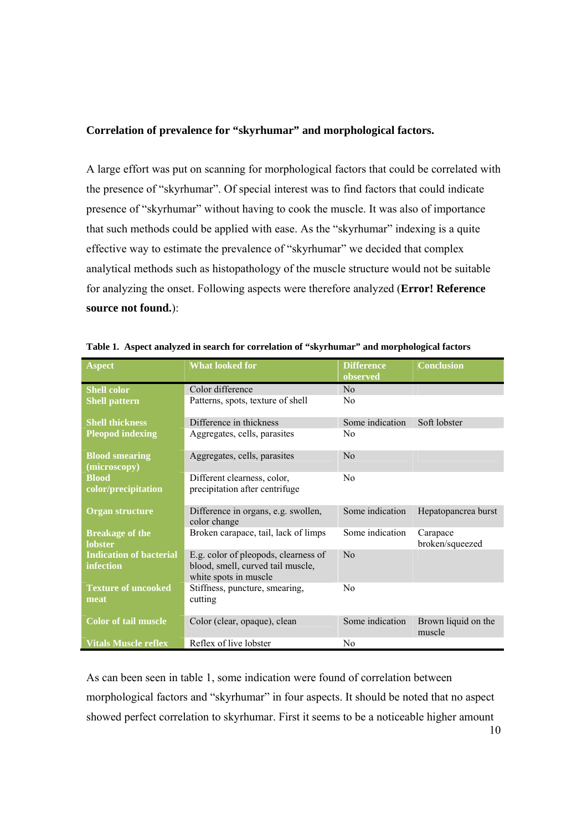#### **Correlation of prevalence for "skyrhumar" and morphological factors.**

A large effort was put on scanning for morphological factors that could be correlated with the presence of "skyrhumar". Of special interest was to find factors that could indicate presence of "skyrhumar" without having to cook the muscle. It was also of importance that such methods could be applied with ease. As the "skyrhumar" indexing is a quite effective way to estimate the prevalence of "skyrhumar" we decided that complex analytical methods such as histopathology of the muscle structure would not be suitable for analyzing the onset. Following aspects were therefore analyzed (**Error! Reference source not found.**):

| <b>Aspect</b>                               | <b>What looked for</b><br><b>Difference</b><br>observed                                            |                 | <b>Conclusion</b>             |
|---------------------------------------------|----------------------------------------------------------------------------------------------------|-----------------|-------------------------------|
| <b>Shell color</b>                          | Color difference                                                                                   | No              |                               |
| <b>Shell pattern</b>                        | Patterns, spots, texture of shell                                                                  | N <sub>0</sub>  |                               |
| <b>Shell thickness</b>                      | Difference in thickness                                                                            | Some indication | Soft lobster                  |
| <b>Pleopod indexing</b>                     | Aggregates, cells, parasites                                                                       | N <sub>0</sub>  |                               |
| <b>Blood smearing</b><br>(microscopy)       | Aggregates, cells, parasites                                                                       | No              |                               |
| <b>Blood</b><br>color/precipitation         | Different clearness, color,<br>precipitation after centrifuge                                      | No              |                               |
| Organ structure                             | Difference in organs, e.g. swollen,<br>color change                                                | Some indication | Hepatopancrea burst           |
| <b>Breakage of the</b><br><b>lobster</b>    | Broken carapace, tail, lack of limps                                                               | Some indication | Carapace<br>broken/squeezed   |
| <b>Indication of bacterial</b><br>infection | E.g. color of pleopods, clearness of<br>blood, smell, curved tail muscle,<br>white spots in muscle | No              |                               |
| <b>Texture of uncooked</b><br>meat          | Stiffness, puncture, smearing,<br>cutting                                                          | No              |                               |
| <b>Color of tail muscle</b>                 | Color (clear, opaque), clean                                                                       | Some indication | Brown liquid on the<br>muscle |
| <b>Vitals Muscle reflex</b>                 | Reflex of live lobster                                                                             | N <sub>0</sub>  |                               |

|  |  |  | Table 1. Aspect analyzed in search for correlation of "skyrhumar" and morphological factors |
|--|--|--|---------------------------------------------------------------------------------------------|
|  |  |  |                                                                                             |

As can been seen in table 1, some indication were found of correlation between morphological factors and "skyrhumar" in four aspects. It should be noted that no aspect showed perfect correlation to skyrhumar. First it seems to be a noticeable higher amount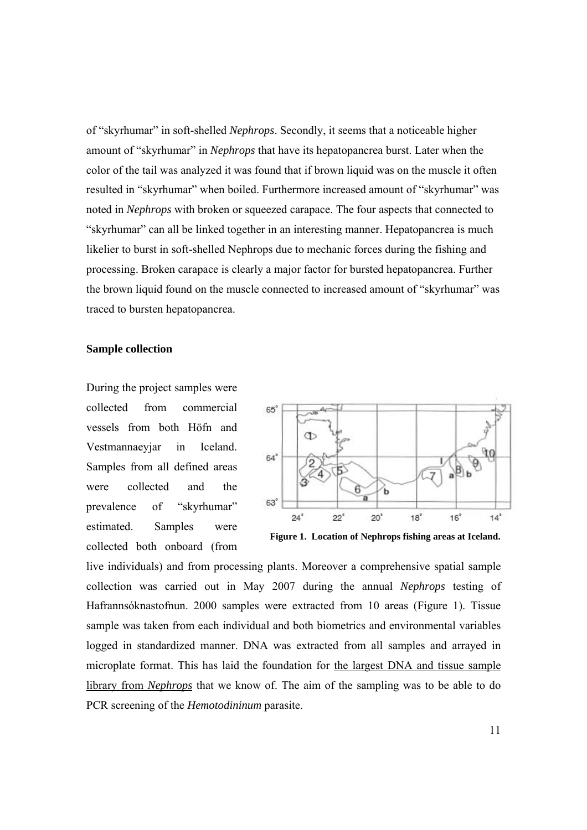of "skyrhumar" in soft-shelled *Nephrops*. Secondly, it seems that a noticeable higher amount of "skyrhumar" in *Nephrops* that have its hepatopancrea burst. Later when the color of the tail was analyzed it was found that if brown liquid was on the muscle it often resulted in "skyrhumar" when boiled. Furthermore increased amount of "skyrhumar" was noted in *Nephrops* with broken or squeezed carapace. The four aspects that connected to "skyrhumar" can all be linked together in an interesting manner. Hepatopancrea is much likelier to burst in soft-shelled Nephrops due to mechanic forces during the fishing and processing. Broken carapace is clearly a major factor for bursted hepatopancrea. Further the brown liquid found on the muscle connected to increased amount of "skyrhumar" was traced to bursten hepatopancrea.

#### **Sample collection**

During the project samples were collected from commercial vessels from both Höfn and Vestmannaeyjar in Iceland. Samples from all defined areas were collected and the prevalence of "skyrhumar" estimated. Samples were collected both onboard (from



**Figure 1. Location of Nephrops fishing areas at Iceland.** 

live individuals) and from processing plants. Moreover a comprehensive spatial sample collection was carried out in May 2007 during the annual *Nephrops* testing of Hafrannsóknastofnun. 2000 samples were extracted from 10 areas (Figure 1). Tissue sample was taken from each individual and both biometrics and environmental variables logged in standardized manner. DNA was extracted from all samples and arrayed in microplate format. This has laid the foundation for the largest DNA and tissue sample library from *Nephrops* that we know of. The aim of the sampling was to be able to do PCR screening of the *Hemotodininum* parasite.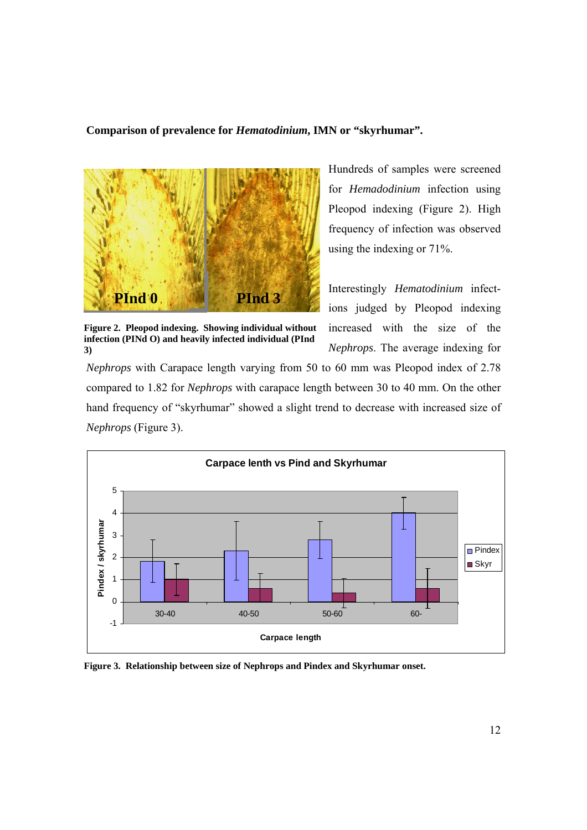#### **Comparison of prevalence for** *Hematodinium***, IMN or "skyrhumar".**



**Figure 2. Pleopod indexing. Showing individual without infection (PINd O) and heavily infected individual (PInd 3)**

Hundreds of samples were screened for *Hemadodinium* infection using Pleopod indexing (Figure 2). High frequency of infection was observed using the indexing or 71%.

Interestingly *Hematodinium* infections judged by Pleopod indexing increased with the size of the *Nephrops*. The average indexing for

*Nephrops* with Carapace length varying from 50 to 60 mm was Pleopod index of 2.78 compared to 1.82 for *Nephrops* with carapace length between 30 to 40 mm. On the other hand frequency of "skyrhumar" showed a slight trend to decrease with increased size of *Nephrops* (Figure 3).



**Figure 3. Relationship between size of Nephrops and Pindex and Skyrhumar onset.**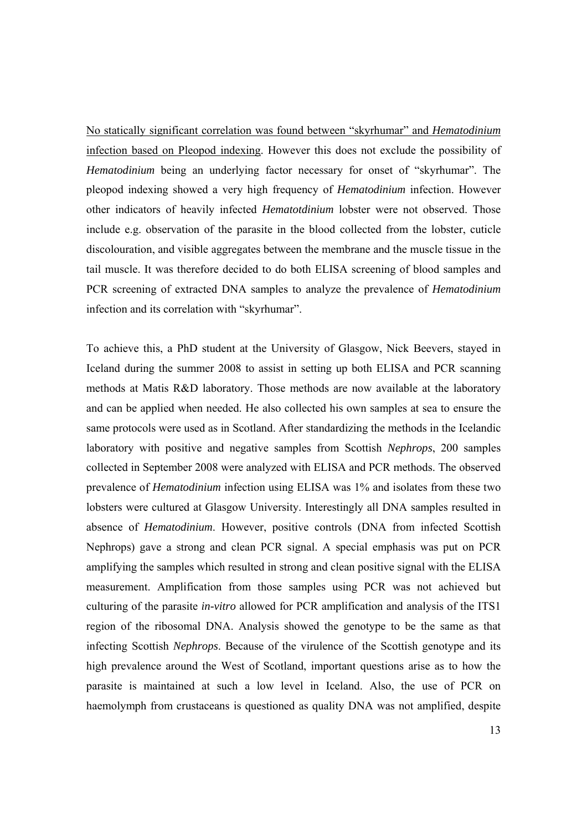No statically significant correlation was found between "skyrhumar" and *Hematodinium* infection based on Pleopod indexing. However this does not exclude the possibility of *Hematodinium* being an underlying factor necessary for onset of "skyrhumar". The pleopod indexing showed a very high frequency of *Hematodinium* infection. However other indicators of heavily infected *Hematotdinium* lobster were not observed. Those include e.g. observation of the parasite in the blood collected from the lobster, cuticle discolouration, and visible aggregates between the membrane and the muscle tissue in the tail muscle. It was therefore decided to do both ELISA screening of blood samples and PCR screening of extracted DNA samples to analyze the prevalence of *Hematodinium* infection and its correlation with "skyrhumar".

To achieve this, a PhD student at the University of Glasgow, Nick Beevers, stayed in Iceland during the summer 2008 to assist in setting up both ELISA and PCR scanning methods at Matis R&D laboratory. Those methods are now available at the laboratory and can be applied when needed. He also collected his own samples at sea to ensure the same protocols were used as in Scotland. After standardizing the methods in the Icelandic laboratory with positive and negative samples from Scottish *Nephrops*, 200 samples collected in September 2008 were analyzed with ELISA and PCR methods. The observed prevalence of *Hematodinium* infection using ELISA was 1% and isolates from these two lobsters were cultured at Glasgow University. Interestingly all DNA samples resulted in absence of *Hematodinium*. However, positive controls (DNA from infected Scottish Nephrops) gave a strong and clean PCR signal. A special emphasis was put on PCR amplifying the samples which resulted in strong and clean positive signal with the ELISA measurement. Amplification from those samples using PCR was not achieved but culturing of the parasite *in-vitro* allowed for PCR amplification and analysis of the ITS1 region of the ribosomal DNA. Analysis showed the genotype to be the same as that infecting Scottish *Nephrops*. Because of the virulence of the Scottish genotype and its high prevalence around the West of Scotland, important questions arise as to how the parasite is maintained at such a low level in Iceland. Also, the use of PCR on haemolymph from crustaceans is questioned as quality DNA was not amplified, despite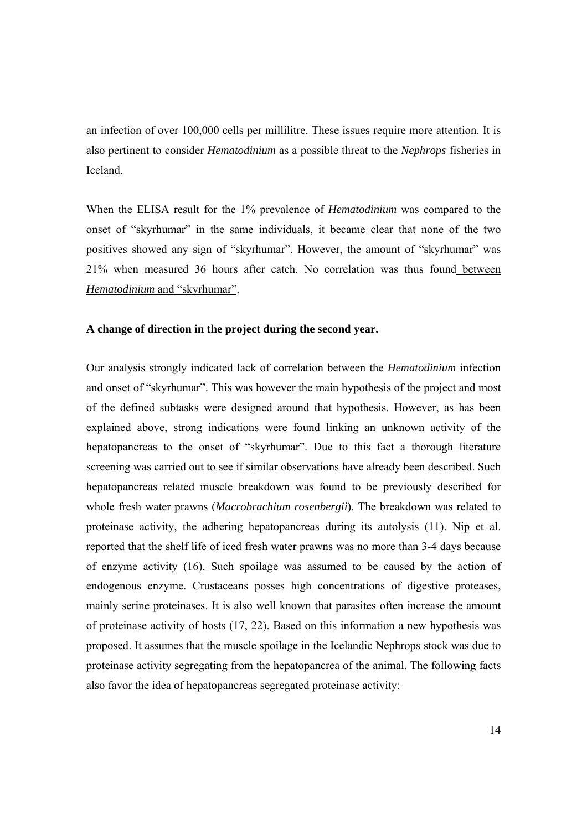an infection of over 100,000 cells per millilitre. These issues require more attention. It is also pertinent to consider *Hematodinium* as a possible threat to the *Nephrops* fisheries in Iceland.

When the ELISA result for the 1% prevalence of *Hematodinium* was compared to the onset of "skyrhumar" in the same individuals, it became clear that none of the two positives showed any sign of "skyrhumar". However, the amount of "skyrhumar" was 21% when measured 36 hours after catch. No correlation was thus found between *Hematodinium* and "skyrhumar".

#### **A change of direction in the project during the second year.**

Our analysis strongly indicated lack of correlation between the *Hematodinium* infection and onset of "skyrhumar". This was however the main hypothesis of the project and most of the defined subtasks were designed around that hypothesis. However, as has been explained above, strong indications were found linking an unknown activity of the hepatopancreas to the onset of "skyrhumar". Due to this fact a thorough literature screening was carried out to see if similar observations have already been described. Such hepatopancreas related muscle breakdown was found to be previously described for whole fresh water prawns (*Macrobrachium rosenbergii*). The breakdown was related to proteinase activity, the adhering hepatopancreas during its autolysis (11). Nip et al. reported that the shelf life of iced fresh water prawns was no more than 3-4 days because of enzyme activity (16). Such spoilage was assumed to be caused by the action of endogenous enzyme. Crustaceans posses high concentrations of digestive proteases, mainly serine proteinases. It is also well known that parasites often increase the amount of proteinase activity of hosts (17, 22). Based on this information a new hypothesis was proposed. It assumes that the muscle spoilage in the Icelandic Nephrops stock was due to proteinase activity segregating from the hepatopancrea of the animal. The following facts also favor the idea of hepatopancreas segregated proteinase activity: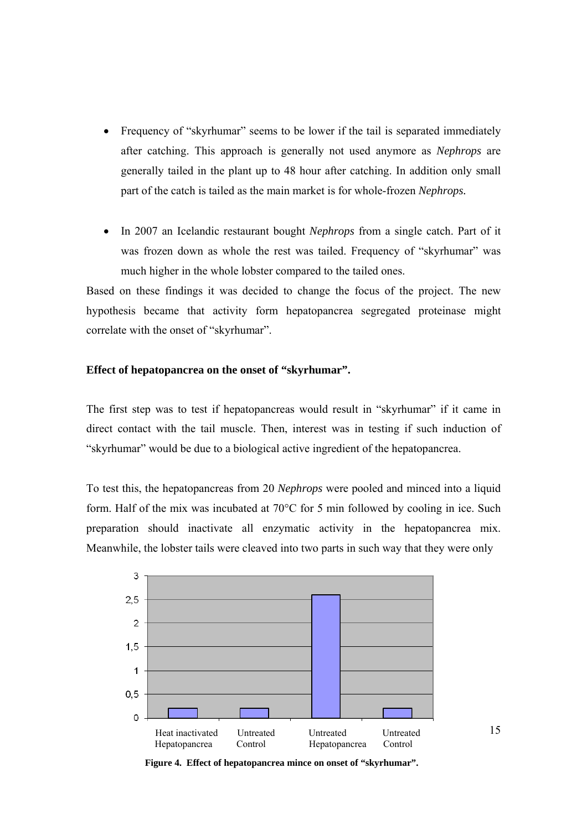- Frequency of "skyrhumar" seems to be lower if the tail is separated immediately after catching. This approach is generally not used anymore as *Nephrops* are generally tailed in the plant up to 48 hour after catching. In addition only small part of the catch is tailed as the main market is for whole-frozen *Nephrops.*
- In 2007 an Icelandic restaurant bought *Nephrops* from a single catch. Part of it was frozen down as whole the rest was tailed. Frequency of "skyrhumar" was much higher in the whole lobster compared to the tailed ones.

Based on these findings it was decided to change the focus of the project. The new hypothesis became that activity form hepatopancrea segregated proteinase might correlate with the onset of "skyrhumar".

#### **Effect of hepatopancrea on the onset of "skyrhumar".**

The first step was to test if hepatopancreas would result in "skyrhumar" if it came in direct contact with the tail muscle. Then, interest was in testing if such induction of "skyrhumar" would be due to a biological active ingredient of the hepatopancrea.

To test this, the hepatopancreas from 20 *Nephrops* were pooled and minced into a liquid form. Half of the mix was incubated at 70°C for 5 min followed by cooling in ice. Such preparation should inactivate all enzymatic activity in the hepatopancrea mix. Meanwhile, the lobster tails were cleaved into two parts in such way that they were only



**Figure 4. Effect of hepatopancrea mince on onset of "skyrhumar".**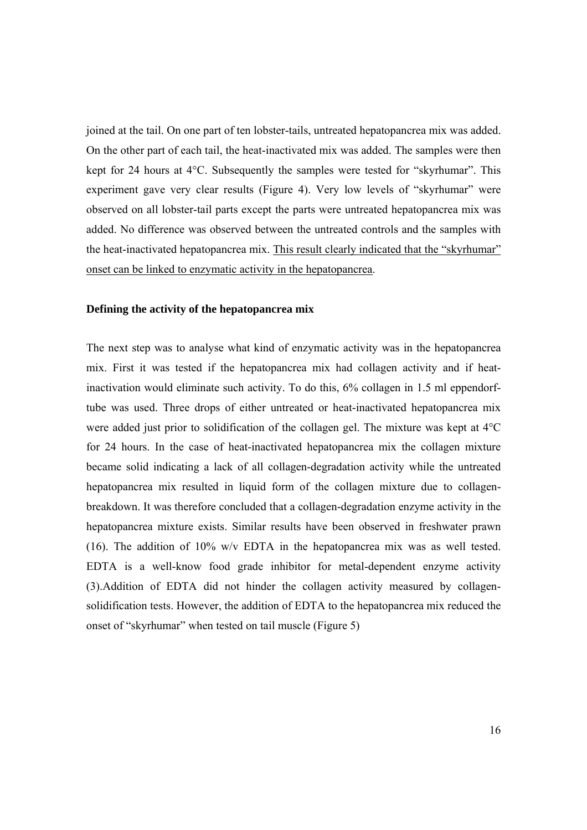joined at the tail. On one part of ten lobster-tails, untreated hepatopancrea mix was added. On the other part of each tail, the heat-inactivated mix was added. The samples were then kept for 24 hours at 4°C. Subsequently the samples were tested for "skyrhumar". This experiment gave very clear results (Figure 4). Very low levels of "skyrhumar" were observed on all lobster-tail parts except the parts were untreated hepatopancrea mix was added. No difference was observed between the untreated controls and the samples with the heat-inactivated hepatopancrea mix. This result clearly indicated that the "skyrhumar" onset can be linked to enzymatic activity in the hepatopancrea.

#### **Defining the activity of the hepatopancrea mix**

The next step was to analyse what kind of enzymatic activity was in the hepatopancrea mix. First it was tested if the hepatopancrea mix had collagen activity and if heatinactivation would eliminate such activity. To do this, 6% collagen in 1.5 ml eppendorftube was used. Three drops of either untreated or heat-inactivated hepatopancrea mix were added just prior to solidification of the collagen gel. The mixture was kept at 4°C for 24 hours. In the case of heat-inactivated hepatopancrea mix the collagen mixture became solid indicating a lack of all collagen-degradation activity while the untreated hepatopancrea mix resulted in liquid form of the collagen mixture due to collagenbreakdown. It was therefore concluded that a collagen-degradation enzyme activity in the hepatopancrea mixture exists. Similar results have been observed in freshwater prawn (16). The addition of 10% w/v EDTA in the hepatopancrea mix was as well tested. EDTA is a well-know food grade inhibitor for metal-dependent enzyme activity (3).Addition of EDTA did not hinder the collagen activity measured by collagensolidification tests. However, the addition of EDTA to the hepatopancrea mix reduced the onset of "skyrhumar" when tested on tail muscle (Figure 5)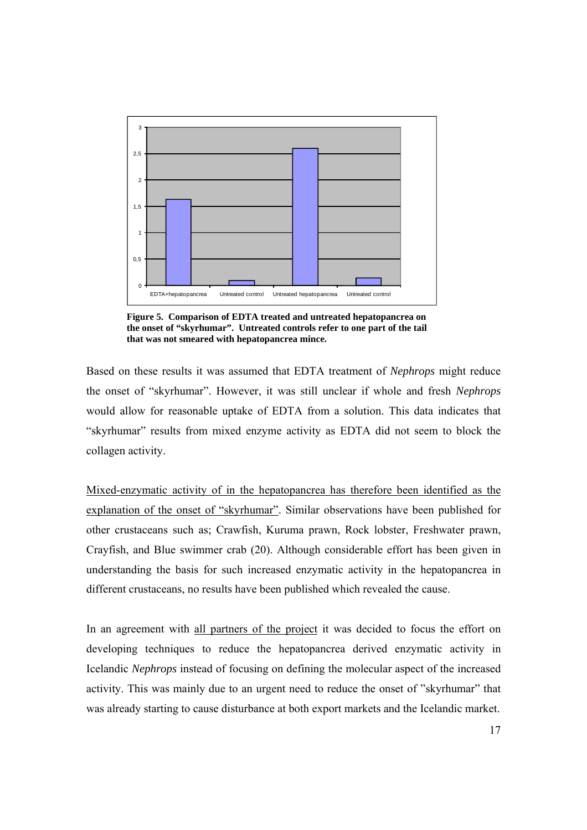

**Figure 5. Comparison of EDTA treated and untreated hepatopancrea on the onset of "skyrhumar". Untreated controls refer to one part of the tail that was not smeared with hepatopancrea mince.**

Based on these results it was assumed that EDTA treatment of *Nephrops* might reduce the onset of "skyrhumar". However, it was still unclear if whole and fresh *Nephrops* would allow for reasonable uptake of EDTA from a solution. This data indicates that "skyrhumar" results from mixed enzyme activity as EDTA did not seem to block the collagen activity.

Mixed-enzymatic activity of in the hepatopancrea has therefore been identified as the explanation of the onset of "skyrhumar". Similar observations have been published for other crustaceans such as; Crawfish, Kuruma prawn, Rock lobster, Freshwater prawn, Crayfish, and Blue swimmer crab (20). Although considerable effort has been given in understanding the basis for such increased enzymatic activity in the hepatopancrea in different crustaceans, no results have been published which revealed the cause.

In an agreement with all partners of the project it was decided to focus the effort on developing techniques to reduce the hepatopancrea derived enzymatic activity in Icelandic *Nephrops* instead of focusing on defining the molecular aspect of the increased activity. This was mainly due to an urgent need to reduce the onset of "skyrhumar" that was already starting to cause disturbance at both export markets and the Icelandic market.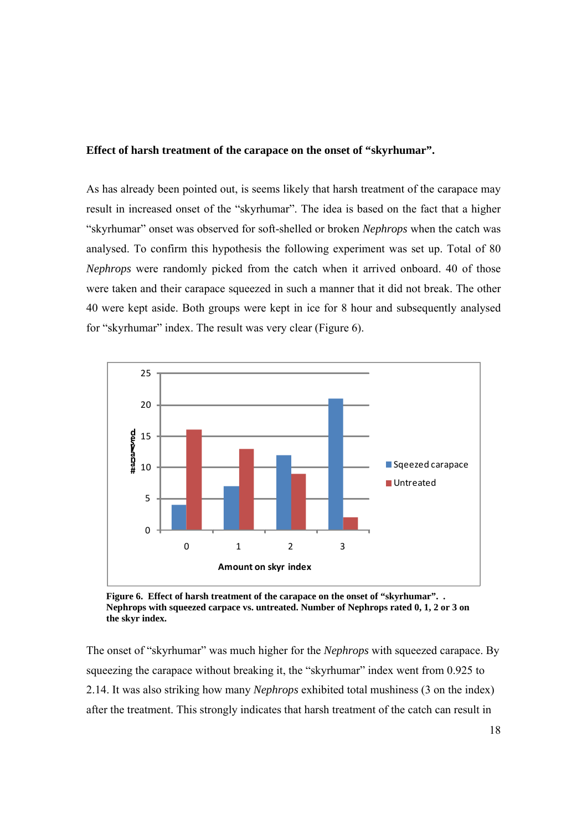#### **Effect of harsh treatment of the carapace on the onset of "skyrhumar".**

As has already been pointed out, is seems likely that harsh treatment of the carapace may result in increased onset of the "skyrhumar". The idea is based on the fact that a higher "skyrhumar" onset was observed for soft-shelled or broken *Nephrops* when the catch was analysed. To confirm this hypothesis the following experiment was set up. Total of 80 *Nephrops* were randomly picked from the catch when it arrived onboard. 40 of those were taken and their carapace squeezed in such a manner that it did not break. The other 40 were kept aside. Both groups were kept in ice for 8 hour and subsequently analysed for "skyrhumar" index. The result was very clear (Figure 6).



**Figure 6. Effect of harsh treatment of the carapace on the onset of "skyrhumar". . Nephrops with squeezed carpace vs. untreated. Number of Nephrops rated 0, 1, 2 or 3 on the skyr index.**

The onset of "skyrhumar" was much higher for the *Nephrops* with squeezed carapace. By squeezing the carapace without breaking it, the "skyrhumar" index went from 0.925 to 2.14. It was also striking how many *Nephrops* exhibited total mushiness (3 on the index) after the treatment. This strongly indicates that harsh treatment of the catch can result in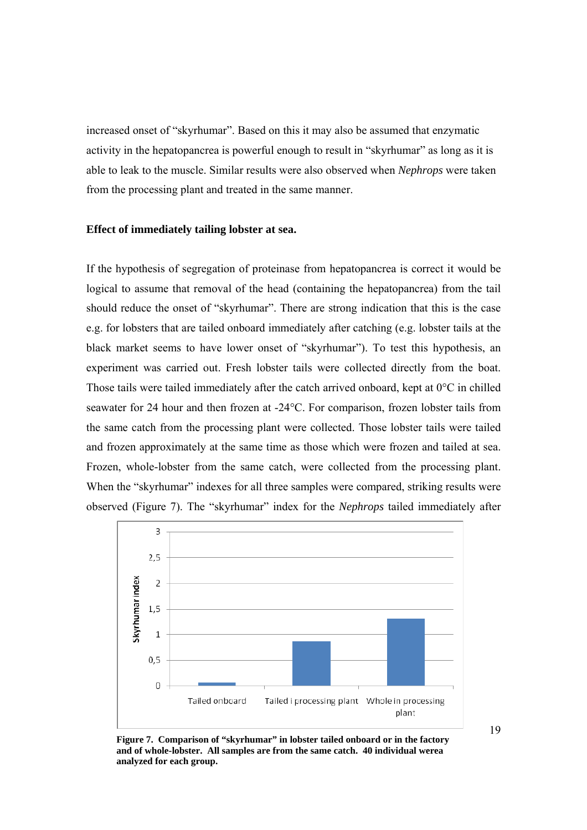increased onset of "skyrhumar". Based on this it may also be assumed that enzymatic activity in the hepatopancrea is powerful enough to result in "skyrhumar" as long as it is able to leak to the muscle. Similar results were also observed when *Nephrops* were taken from the processing plant and treated in the same manner.

#### **Effect of immediately tailing lobster at sea.**

If the hypothesis of segregation of proteinase from hepatopancrea is correct it would be logical to assume that removal of the head (containing the hepatopancrea) from the tail should reduce the onset of "skyrhumar". There are strong indication that this is the case e.g. for lobsters that are tailed onboard immediately after catching (e.g. lobster tails at the black market seems to have lower onset of "skyrhumar"). To test this hypothesis, an experiment was carried out. Fresh lobster tails were collected directly from the boat. Those tails were tailed immediately after the catch arrived onboard, kept at 0°C in chilled seawater for 24 hour and then frozen at -24°C. For comparison, frozen lobster tails from the same catch from the processing plant were collected. Those lobster tails were tailed and frozen approximately at the same time as those which were frozen and tailed at sea. Frozen, whole-lobster from the same catch, were collected from the processing plant. When the "skyrhumar" indexes for all three samples were compared, striking results were observed (Figure 7). The "skyrhumar" index for the *Nephrops* tailed immediately after



**Figure 7. Comparison of "skyrhumar" in lobster tailed onboard or in the factory and of whole-lobster. All samples are from the same catch. 40 individual werea analyzed for each group.** 

19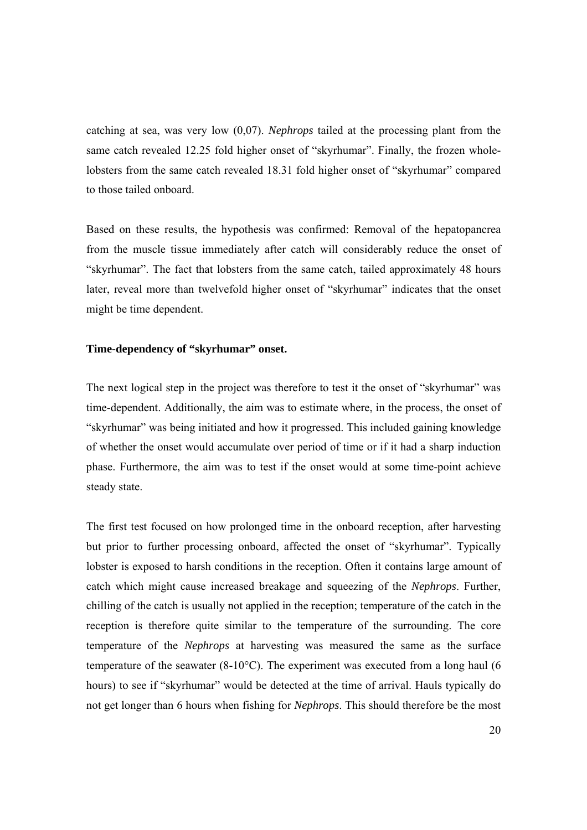catching at sea, was very low (0,07). *Nephrops* tailed at the processing plant from the same catch revealed 12.25 fold higher onset of "skyrhumar". Finally, the frozen wholelobsters from the same catch revealed 18.31 fold higher onset of "skyrhumar" compared to those tailed onboard.

Based on these results, the hypothesis was confirmed: Removal of the hepatopancrea from the muscle tissue immediately after catch will considerably reduce the onset of "skyrhumar". The fact that lobsters from the same catch, tailed approximately 48 hours later, reveal more than twelvefold higher onset of "skyrhumar" indicates that the onset might be time dependent.

#### **Time-dependency of "skyrhumar" onset.**

The next logical step in the project was therefore to test it the onset of "skyrhumar" was time-dependent. Additionally, the aim was to estimate where, in the process, the onset of "skyrhumar" was being initiated and how it progressed. This included gaining knowledge of whether the onset would accumulate over period of time or if it had a sharp induction phase. Furthermore, the aim was to test if the onset would at some time-point achieve steady state.

The first test focused on how prolonged time in the onboard reception, after harvesting but prior to further processing onboard, affected the onset of "skyrhumar". Typically lobster is exposed to harsh conditions in the reception. Often it contains large amount of catch which might cause increased breakage and squeezing of the *Nephrops*. Further, chilling of the catch is usually not applied in the reception; temperature of the catch in the reception is therefore quite similar to the temperature of the surrounding. The core temperature of the *Nephrops* at harvesting was measured the same as the surface temperature of the seawater (8-10°C). The experiment was executed from a long haul (6 hours) to see if "skyrhumar" would be detected at the time of arrival. Hauls typically do not get longer than 6 hours when fishing for *Nephrops*. This should therefore be the most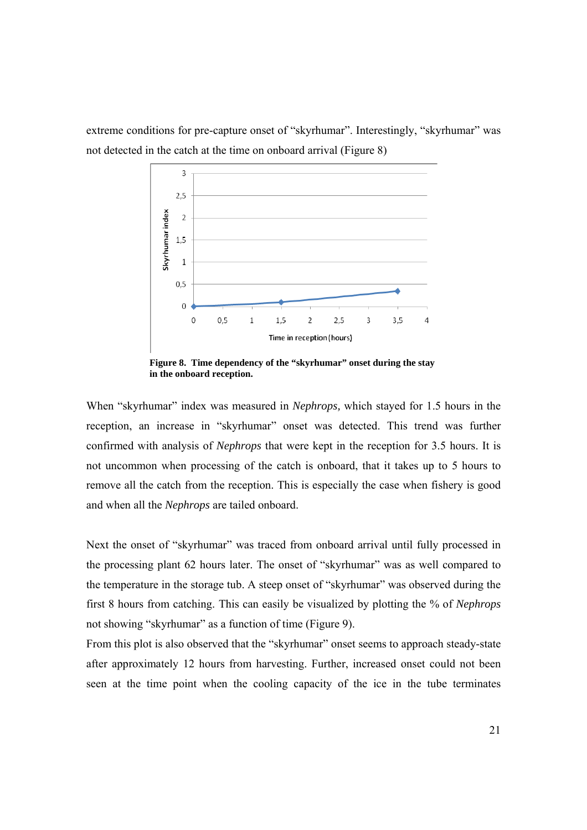extreme conditions for pre-capture onset of "skyrhumar". Interestingly, "skyrhumar" was not detected in the catch at the time on onboard arrival (Figure 8)



**Figure 8. Time dependency of the "skyrhumar" onset during the stay in the onboard reception.** 

When "skyrhumar" index was measured in *Nephrops,* which stayed for 1.5 hours in the reception, an increase in "skyrhumar" onset was detected. This trend was further confirmed with analysis of *Nephrops* that were kept in the reception for 3.5 hours. It is not uncommon when processing of the catch is onboard, that it takes up to 5 hours to remove all the catch from the reception. This is especially the case when fishery is good and when all the *Nephrops* are tailed onboard.

Next the onset of "skyrhumar" was traced from onboard arrival until fully processed in the processing plant 62 hours later. The onset of "skyrhumar" was as well compared to the temperature in the storage tub. A steep onset of "skyrhumar" was observed during the first 8 hours from catching. This can easily be visualized by plotting the % of *Nephrops* not showing "skyrhumar" as a function of time (Figure 9).

From this plot is also observed that the "skyrhumar" onset seems to approach steady-state after approximately 12 hours from harvesting. Further, increased onset could not been seen at the time point when the cooling capacity of the ice in the tube terminates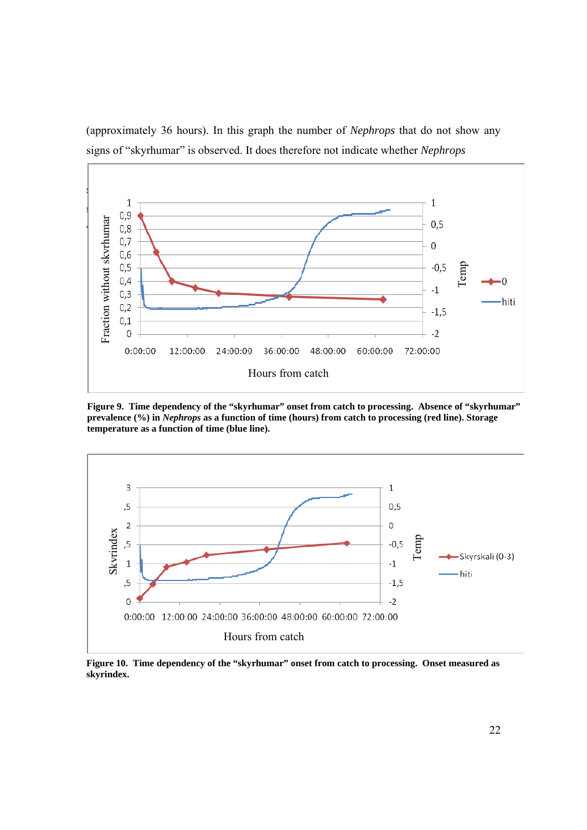

(approximately 36 hours). In this graph the number of *Nephrops* that do not show any signs of "skyrhumar" is observed. It does therefore not indicate whether *Nephrops*

**Figure 9. Time dependency of the "skyrhumar" onset from catch to processing. Absence of "skyrhumar" prevalence (%) in** *Nephrops* **as a function of time (hours) from catch to processing (red line). Storage temperature as a function of time (blue line).** 



**Figure 10. Time dependency of the "skyrhumar" onset from catch to processing. Onset measured as skyrindex.**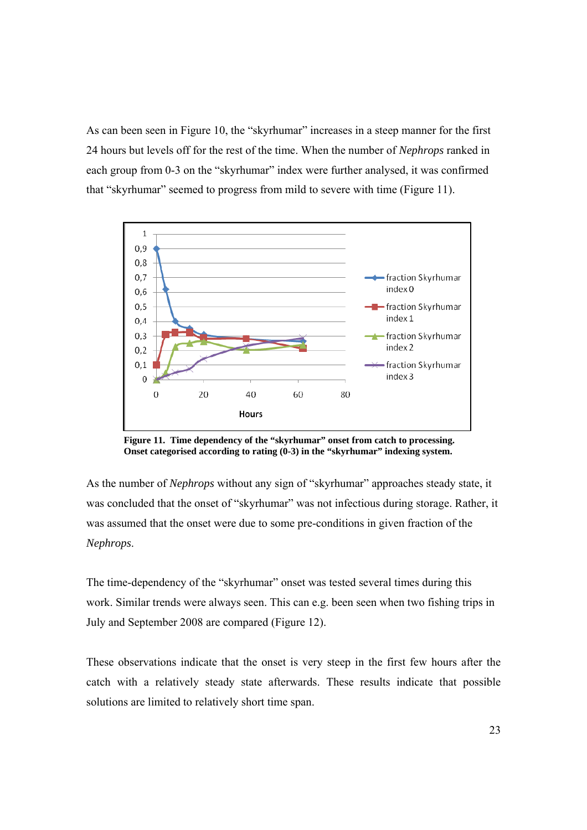As can been seen in Figure 10, the "skyrhumar" increases in a steep manner for the first 24 hours but levels off for the rest of the time. When the number of *Nephrops* ranked in each group from 0-3 on the "skyrhumar" index were further analysed, it was confirmed that "skyrhumar" seemed to progress from mild to severe with time (Figure 11).



**Figure 11. Time dependency of the "skyrhumar" onset from catch to processing. Onset categorised according to rating (0-3) in the "skyrhumar" indexing system.**

As the number of *Nephrops* without any sign of "skyrhumar" approaches steady state, it was concluded that the onset of "skyrhumar" was not infectious during storage. Rather, it was assumed that the onset were due to some pre-conditions in given fraction of the *Nephrops*.

The time-dependency of the "skyrhumar" onset was tested several times during this work. Similar trends were always seen. This can e.g. been seen when two fishing trips in July and September 2008 are compared (Figure 12).

These observations indicate that the onset is very steep in the first few hours after the catch with a relatively steady state afterwards. These results indicate that possible solutions are limited to relatively short time span.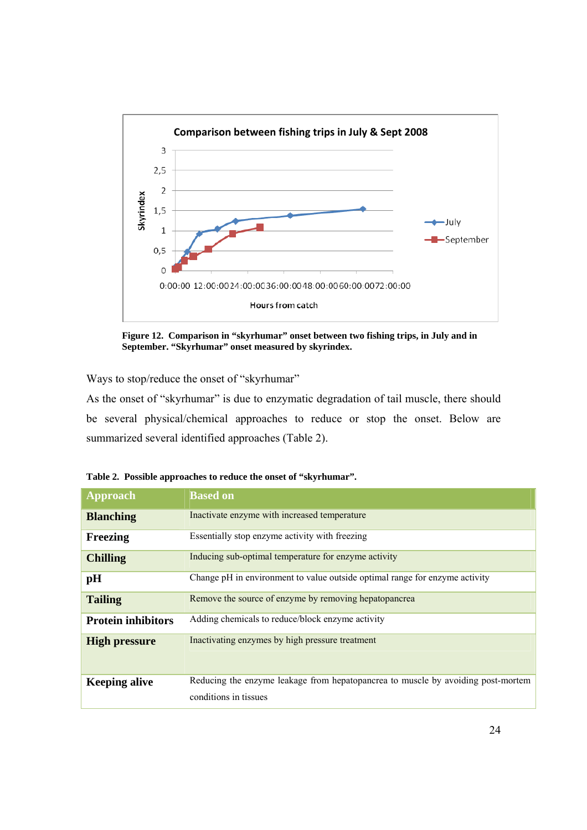

**Figure 12. Comparison in "skyrhumar" onset between two fishing trips, in July and in September. "Skyrhumar" onset measured by skyrindex.** 

Ways to stop/reduce the onset of "skyrhumar"

As the onset of "skyrhumar" is due to enzymatic degradation of tail muscle, there should be several physical/chemical approaches to reduce or stop the onset. Below are summarized several identified approaches (Table 2).

| <b>Approach</b>           | <b>Based on</b>                                                                                           |
|---------------------------|-----------------------------------------------------------------------------------------------------------|
| <b>Blanching</b>          | Inactivate enzyme with increased temperature                                                              |
| Freezing                  | Essentially stop enzyme activity with freezing                                                            |
| <b>Chilling</b>           | Inducing sub-optimal temperature for enzyme activity                                                      |
| pH                        | Change pH in environment to value outside optimal range for enzyme activity                               |
| <b>Tailing</b>            | Remove the source of enzyme by removing hepatopancrea                                                     |
| <b>Protein inhibitors</b> | Adding chemicals to reduce/block enzyme activity                                                          |
| <b>High pressure</b>      | Inactivating enzymes by high pressure treatment                                                           |
| <b>Keeping alive</b>      | Reducing the enzyme leakage from hepatopancrea to muscle by avoiding post-mortem<br>conditions in tissues |
|                           |                                                                                                           |

**Table 2. Possible approaches to reduce the onset of "skyrhumar".**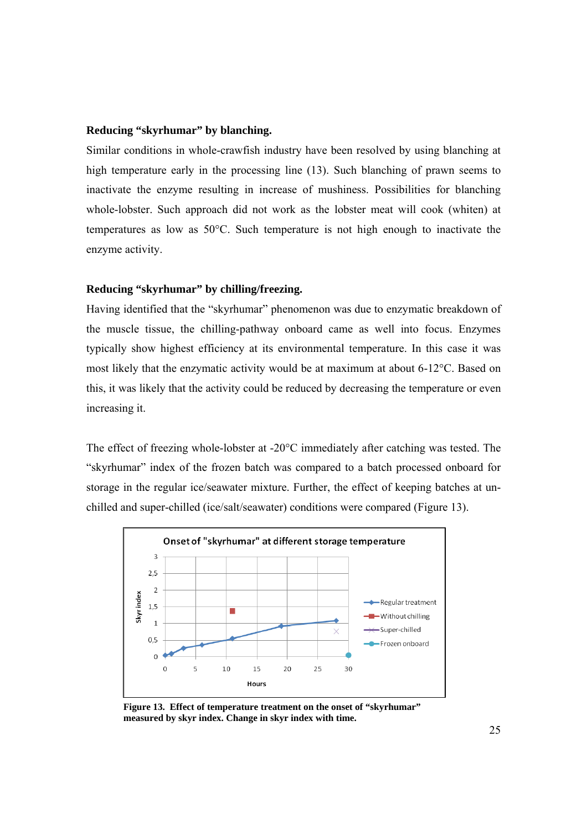#### **Reducing "skyrhumar" by blanching.**

Similar conditions in whole-crawfish industry have been resolved by using blanching at high temperature early in the processing line (13). Such blanching of prawn seems to inactivate the enzyme resulting in increase of mushiness. Possibilities for blanching whole-lobster. Such approach did not work as the lobster meat will cook (whiten) at temperatures as low as 50°C. Such temperature is not high enough to inactivate the enzyme activity.

#### **Reducing "skyrhumar" by chilling/freezing.**

Having identified that the "skyrhumar" phenomenon was due to enzymatic breakdown of the muscle tissue, the chilling-pathway onboard came as well into focus. Enzymes typically show highest efficiency at its environmental temperature. In this case it was most likely that the enzymatic activity would be at maximum at about 6-12°C. Based on this, it was likely that the activity could be reduced by decreasing the temperature or even increasing it.

The effect of freezing whole-lobster at -20°C immediately after catching was tested. The "skyrhumar" index of the frozen batch was compared to a batch processed onboard for storage in the regular ice/seawater mixture. Further, the effect of keeping batches at unchilled and super-chilled (ice/salt/seawater) conditions were compared (Figure 13).



**Figure 13. Effect of temperature treatment on the onset of "skyrhumar" measured by skyr index. Change in skyr index with time.**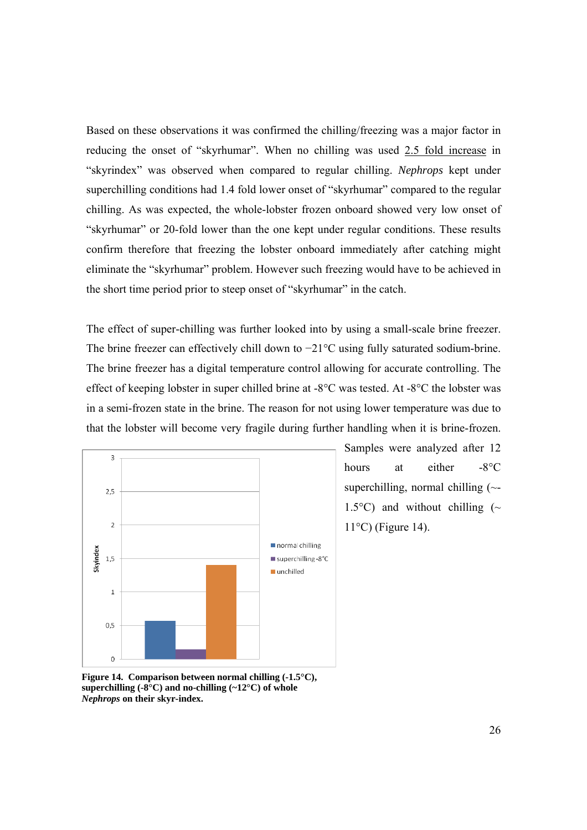Based on these observations it was confirmed the chilling/freezing was a major factor in reducing the onset of "skyrhumar". When no chilling was used 2.5 fold increase in "skyrindex" was observed when compared to regular chilling. *Nephrops* kept under superchilling conditions had 1.4 fold lower onset of "skyrhumar" compared to the regular chilling. As was expected, the whole-lobster frozen onboard showed very low onset of "skyrhumar" or 20-fold lower than the one kept under regular conditions. These results confirm therefore that freezing the lobster onboard immediately after catching might eliminate the "skyrhumar" problem. However such freezing would have to be achieved in the short time period prior to steep onset of "skyrhumar" in the catch.

The effect of super-chilling was further looked into by using a small-scale brine freezer. The brine freezer can effectively chill down to −21°C using fully saturated sodium-brine. The brine freezer has a digital temperature control allowing for accurate controlling. The effect of keeping lobster in super chilled brine at -8°C was tested. At -8°C the lobster was in a semi-frozen state in the brine. The reason for not using lower temperature was due to that the lobster will become very fragile during further handling when it is brine-frozen.



Samples were analyzed after 12 hours at either -8<sup>o</sup>C superchilling, normal chilling  $(\sim$ -1.5 $^{\circ}$ C) and without chilling (~ 11°C) (Figure 14).

**Figure 14. Comparison between normal chilling (-1.5°C), superchilling (-8°C) and no-chilling (~12°C) of whole**  *Nephrops* **on their skyr-index.**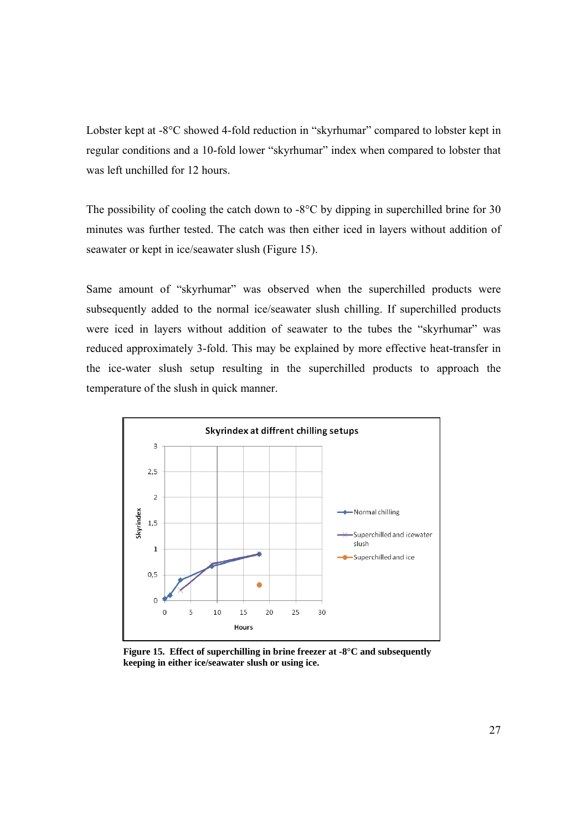Lobster kept at -8°C showed 4-fold reduction in "skyrhumar" compared to lobster kept in regular conditions and a 10-fold lower "skyrhumar" index when compared to lobster that was left unchilled for 12 hours.

The possibility of cooling the catch down to  $-8^{\circ}$ C by dipping in superchilled brine for 30 minutes was further tested. The catch was then either iced in layers without addition of seawater or kept in ice/seawater slush (Figure 15).

Same amount of "skyrhumar" was observed when the superchilled products were subsequently added to the normal ice/seawater slush chilling. If superchilled products were iced in layers without addition of seawater to the tubes the "skyrhumar" was reduced approximately 3-fold. This may be explained by more effective heat-transfer in the ice-water slush setup resulting in the superchilled products to approach the temperature of the slush in quick manner.



**Figure 15. Effect of superchilling in brine freezer at -8°C and subsequently keeping in either ice/seawater slush or using ice.**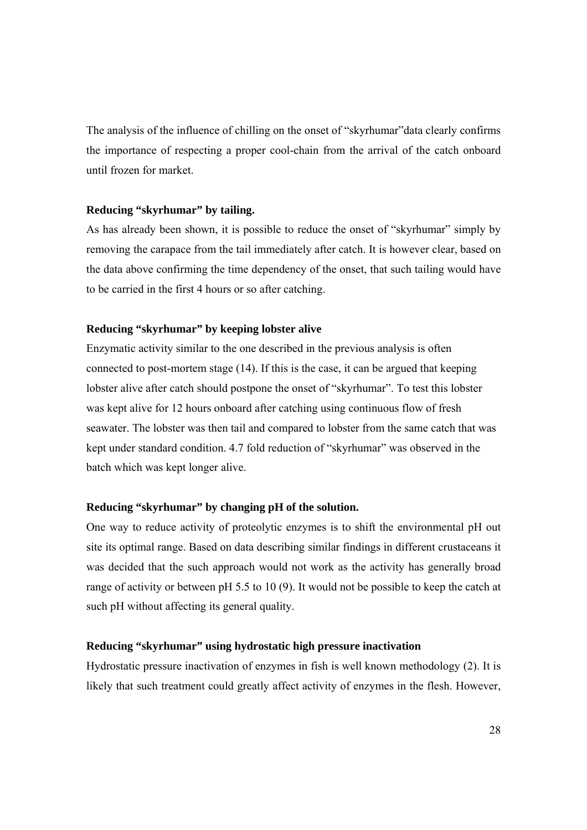The analysis of the influence of chilling on the onset of "skyrhumar"data clearly confirms the importance of respecting a proper cool-chain from the arrival of the catch onboard until frozen for market.

#### **Reducing "skyrhumar" by tailing.**

As has already been shown, it is possible to reduce the onset of "skyrhumar" simply by removing the carapace from the tail immediately after catch. It is however clear, based on the data above confirming the time dependency of the onset, that such tailing would have to be carried in the first 4 hours or so after catching.

#### **Reducing "skyrhumar" by keeping lobster alive**

Enzymatic activity similar to the one described in the previous analysis is often connected to post-mortem stage (14). If this is the case, it can be argued that keeping lobster alive after catch should postpone the onset of "skyrhumar". To test this lobster was kept alive for 12 hours onboard after catching using continuous flow of fresh seawater. The lobster was then tail and compared to lobster from the same catch that was kept under standard condition. 4.7 fold reduction of "skyrhumar" was observed in the batch which was kept longer alive.

#### **Reducing "skyrhumar" by changing pH of the solution.**

One way to reduce activity of proteolytic enzymes is to shift the environmental pH out site its optimal range. Based on data describing similar findings in different crustaceans it was decided that the such approach would not work as the activity has generally broad range of activity or between pH 5.5 to 10 (9). It would not be possible to keep the catch at such pH without affecting its general quality.

#### **Reducing "skyrhumar" using hydrostatic high pressure inactivation**

Hydrostatic pressure inactivation of enzymes in fish is well known methodology (2). It is likely that such treatment could greatly affect activity of enzymes in the flesh. However,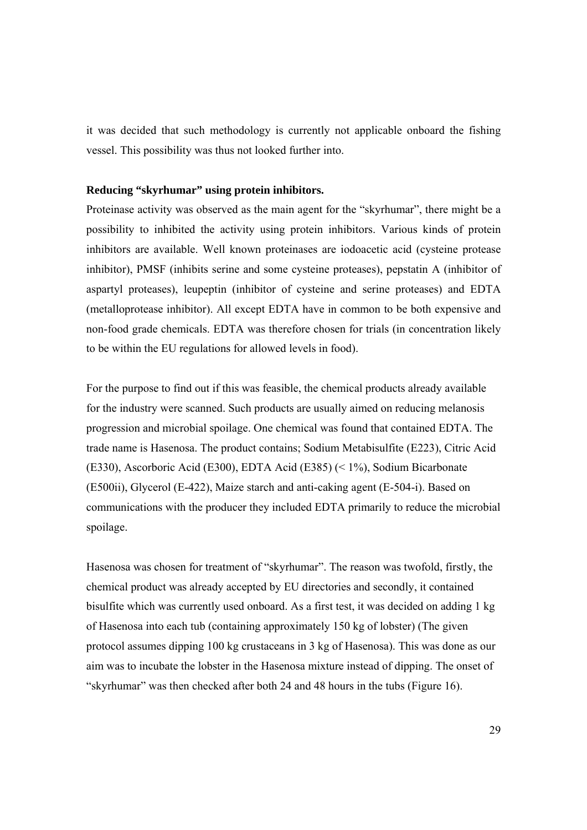it was decided that such methodology is currently not applicable onboard the fishing vessel. This possibility was thus not looked further into.

#### **Reducing "skyrhumar" using protein inhibitors.**

Proteinase activity was observed as the main agent for the "skyrhumar", there might be a possibility to inhibited the activity using protein inhibitors. Various kinds of protein inhibitors are available. Well known proteinases are iodoacetic acid (cysteine protease inhibitor), PMSF (inhibits serine and some cysteine proteases), pepstatin A (inhibitor of aspartyl proteases), leupeptin (inhibitor of cysteine and serine proteases) and EDTA (metalloprotease inhibitor). All except EDTA have in common to be both expensive and non-food grade chemicals. EDTA was therefore chosen for trials (in concentration likely to be within the EU regulations for allowed levels in food).

For the purpose to find out if this was feasible, the chemical products already available for the industry were scanned. Such products are usually aimed on reducing melanosis progression and microbial spoilage. One chemical was found that contained EDTA. The trade name is Hasenosa. The product contains; Sodium Metabisulfite (E223), Citric Acid (E330), Ascorboric Acid (E300), EDTA Acid (E385) (< 1%), Sodium Bicarbonate (E500ii), Glycerol (E-422), Maize starch and anti-caking agent (E-504-i). Based on communications with the producer they included EDTA primarily to reduce the microbial spoilage.

Hasenosa was chosen for treatment of "skyrhumar". The reason was twofold, firstly, the chemical product was already accepted by EU directories and secondly, it contained bisulfite which was currently used onboard. As a first test, it was decided on adding 1 kg of Hasenosa into each tub (containing approximately 150 kg of lobster) (The given protocol assumes dipping 100 kg crustaceans in 3 kg of Hasenosa). This was done as our aim was to incubate the lobster in the Hasenosa mixture instead of dipping. The onset of "skyrhumar" was then checked after both 24 and 48 hours in the tubs (Figure 16).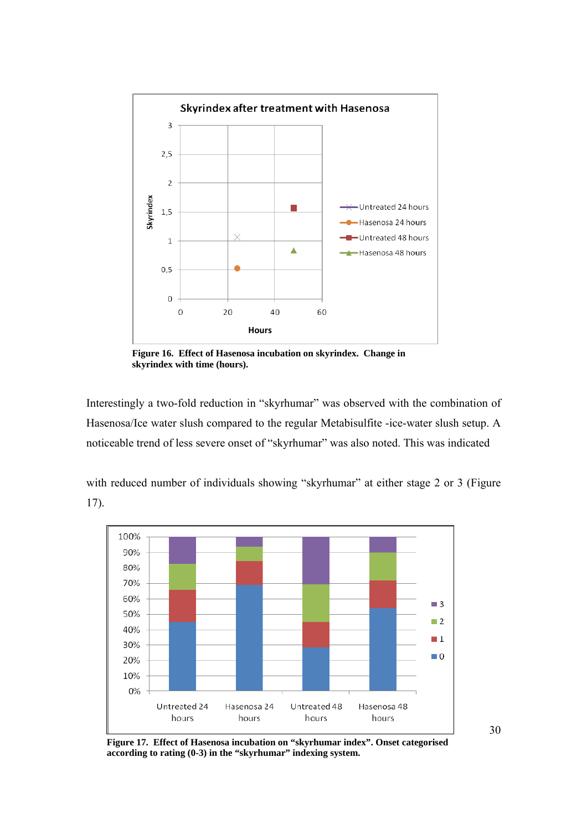

**Figure 16. Effect of Hasenosa incubation on skyrindex. Change in skyrindex with time (hours).**

Interestingly a two-fold reduction in "skyrhumar" was observed with the combination of Hasenosa/Ice water slush compared to the regular Metabisulfite -ice-water slush setup. A noticeable trend of less severe onset of "skyrhumar" was also noted. This was indicated

with reduced number of individuals showing "skyrhumar" at either stage 2 or 3 (Figure 17).



**Figure 17. Effect of Hasenosa incubation on "skyrhumar index". Onset categorised according to rating (0-3) in the "skyrhumar" indexing system.**

30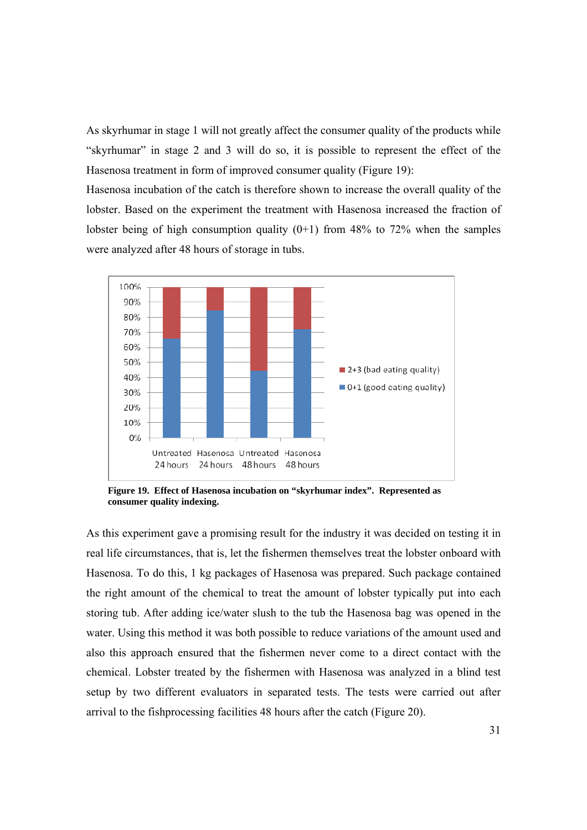As skyrhumar in stage 1 will not greatly affect the consumer quality of the products while "skyrhumar" in stage 2 and 3 will do so, it is possible to represent the effect of the Hasenosa treatment in form of improved consumer quality (Figure 19):

Hasenosa incubation of the catch is therefore shown to increase the overall quality of the lobster. Based on the experiment the treatment with Hasenosa increased the fraction of lobster being of high consumption quality  $(0+1)$  from 48% to 72% when the samples were analyzed after 48 hours of storage in tubs.



**Figure 19. Effect of Hasenosa incubation on "skyrhumar index". Represented as consumer quality indexing.** 

As this experiment gave a promising result for the industry it was decided on testing it in real life circumstances, that is, let the fishermen themselves treat the lobster onboard with Hasenosa. To do this, 1 kg packages of Hasenosa was prepared. Such package contained the right amount of the chemical to treat the amount of lobster typically put into each storing tub. After adding ice/water slush to the tub the Hasenosa bag was opened in the water. Using this method it was both possible to reduce variations of the amount used and also this approach ensured that the fishermen never come to a direct contact with the chemical. Lobster treated by the fishermen with Hasenosa was analyzed in a blind test setup by two different evaluators in separated tests. The tests were carried out after arrival to the fishprocessing facilities 48 hours after the catch (Figure 20).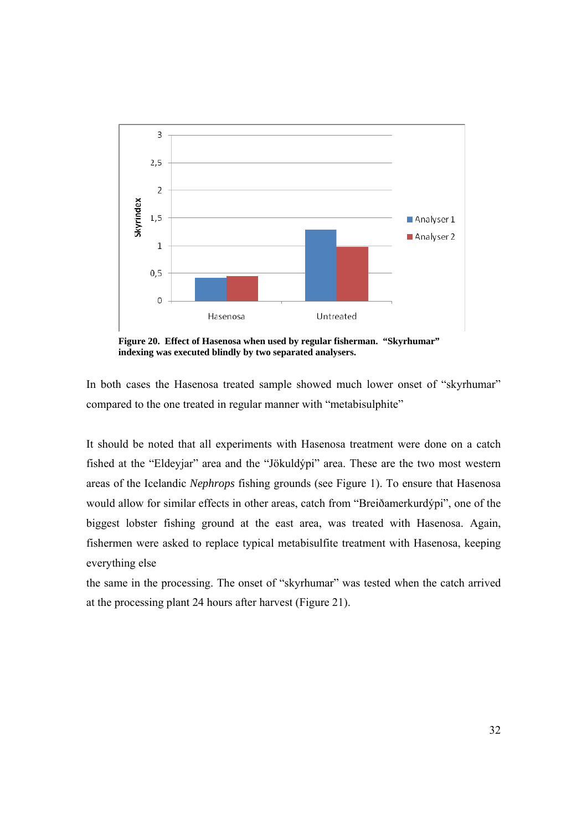

**Figure 20. Effect of Hasenosa when used by regular fisherman. "Skyrhumar" indexing was executed blindly by two separated analysers.** 

In both cases the Hasenosa treated sample showed much lower onset of "skyrhumar" compared to the one treated in regular manner with "metabisulphite"

It should be noted that all experiments with Hasenosa treatment were done on a catch fished at the "Eldeyjar" area and the "Jökuldýpi" area. These are the two most western areas of the Icelandic *Nephrops* fishing grounds (see Figure 1). To ensure that Hasenosa would allow for similar effects in other areas, catch from "Breiðamerkurdýpi", one of the biggest lobster fishing ground at the east area, was treated with Hasenosa. Again, fishermen were asked to replace typical metabisulfite treatment with Hasenosa, keeping everything else

the same in the processing. The onset of "skyrhumar" was tested when the catch arrived at the processing plant 24 hours after harvest (Figure 21).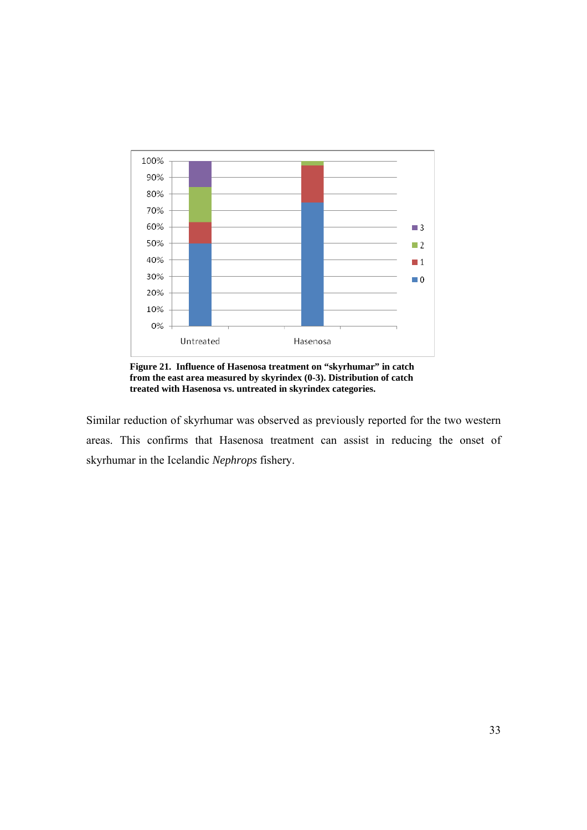

**Figure 21. Influence of Hasenosa treatment on "skyrhumar" in catch from the east area measured by skyrindex (0-3). Distribution of catch treated with Hasenosa vs. untreated in skyrindex categories.**

Similar reduction of skyrhumar was observed as previously reported for the two western areas. This confirms that Hasenosa treatment can assist in reducing the onset of skyrhumar in the Icelandic *Nephrops* fishery.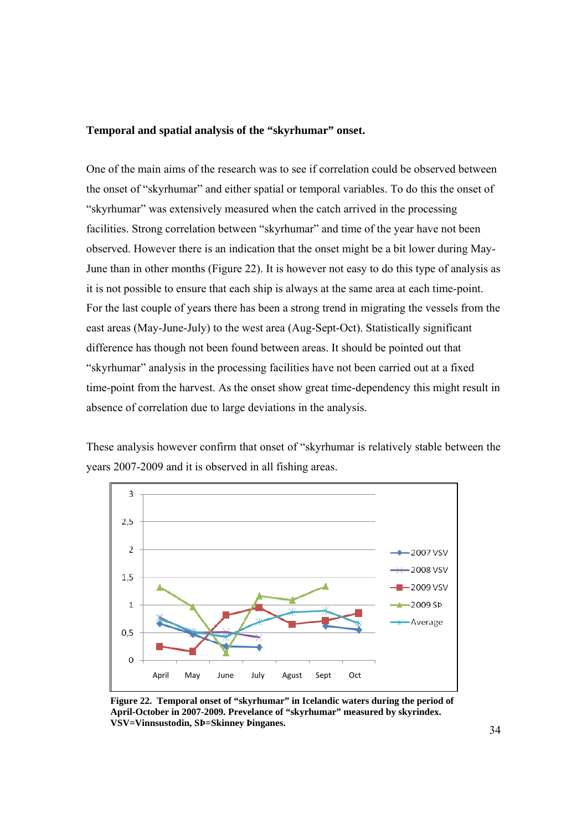#### **Temporal and spatial analysis of the "skyrhumar" onset.**

One of the main aims of the research was to see if correlation could be observed between the onset of "skyrhumar" and either spatial or temporal variables. To do this the onset of "skyrhumar" was extensively measured when the catch arrived in the processing facilities. Strong correlation between "skyrhumar" and time of the year have not been observed. However there is an indication that the onset might be a bit lower during May-June than in other months (Figure 22). It is however not easy to do this type of analysis as it is not possible to ensure that each ship is always at the same area at each time-point. For the last couple of years there has been a strong trend in migrating the vessels from the east areas (May-June-July) to the west area (Aug-Sept-Oct). Statistically significant difference has though not been found between areas. It should be pointed out that "skyrhumar" analysis in the processing facilities have not been carried out at a fixed time-point from the harvest. As the onset show great time-dependency this might result in absence of correlation due to large deviations in the analysis.

These analysis however confirm that onset of "skyrhumar is relatively stable between the years 2007-2009 and it is observed in all fishing areas.



**Figure 22. Temporal onset of "skyrhumar" in Icelandic waters during the period of April-October in 2007-2009. Prevelance of "skyrhumar" measured by skyrindex. VSV=Vinnsustodin, SÞ=Skinney Þinganes.**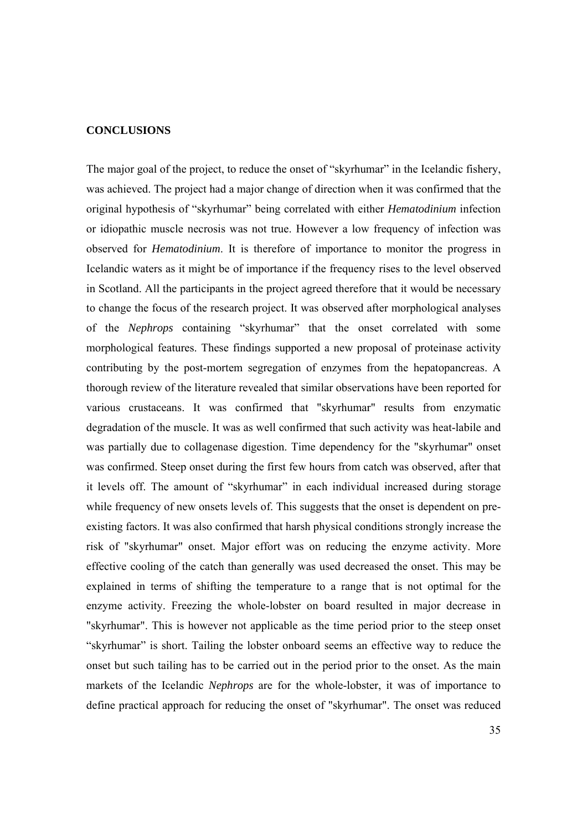#### **CONCLUSIONS**

The major goal of the project, to reduce the onset of "skyrhumar" in the Icelandic fishery, was achieved. The project had a major change of direction when it was confirmed that the original hypothesis of "skyrhumar" being correlated with either *Hematodinium* infection or idiopathic muscle necrosis was not true. However a low frequency of infection was observed for *Hematodinium*. It is therefore of importance to monitor the progress in Icelandic waters as it might be of importance if the frequency rises to the level observed in Scotland. All the participants in the project agreed therefore that it would be necessary to change the focus of the research project. It was observed after morphological analyses of the *Nephrops* containing "skyrhumar" that the onset correlated with some morphological features. These findings supported a new proposal of proteinase activity contributing by the post-mortem segregation of enzymes from the hepatopancreas. A thorough review of the literature revealed that similar observations have been reported for various crustaceans. It was confirmed that "skyrhumar" results from enzymatic degradation of the muscle. It was as well confirmed that such activity was heat-labile and was partially due to collagenase digestion. Time dependency for the "skyrhumar" onset was confirmed. Steep onset during the first few hours from catch was observed, after that it levels off. The amount of "skyrhumar" in each individual increased during storage while frequency of new onsets levels of. This suggests that the onset is dependent on preexisting factors. It was also confirmed that harsh physical conditions strongly increase the risk of "skyrhumar" onset. Major effort was on reducing the enzyme activity. More effective cooling of the catch than generally was used decreased the onset. This may be explained in terms of shifting the temperature to a range that is not optimal for the enzyme activity. Freezing the whole-lobster on board resulted in major decrease in "skyrhumar". This is however not applicable as the time period prior to the steep onset "skyrhumar" is short. Tailing the lobster onboard seems an effective way to reduce the onset but such tailing has to be carried out in the period prior to the onset. As the main markets of the Icelandic *Nephrops* are for the whole-lobster, it was of importance to define practical approach for reducing the onset of "skyrhumar". The onset was reduced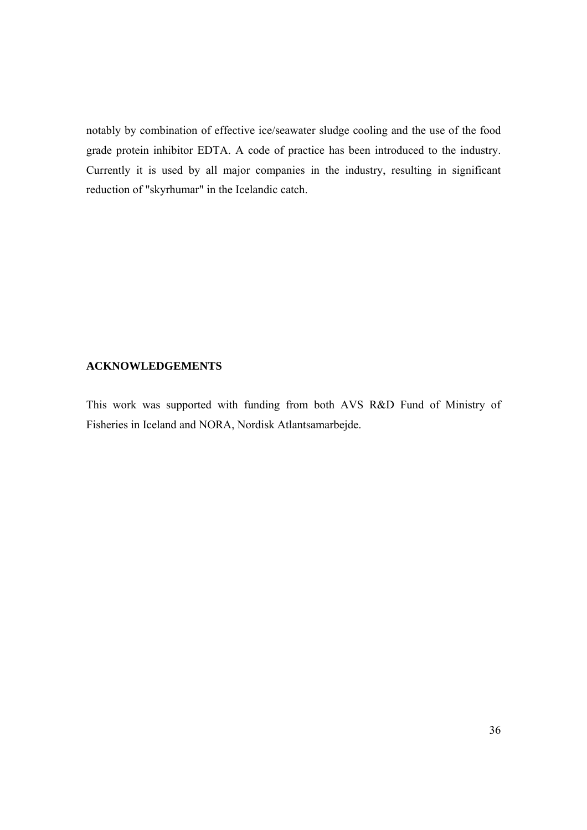notably by combination of effective ice/seawater sludge cooling and the use of the food grade protein inhibitor EDTA. A code of practice has been introduced to the industry. Currently it is used by all major companies in the industry, resulting in significant reduction of "skyrhumar" in the Icelandic catch.

#### **ACKNOWLEDGEMENTS**

This work was supported with funding from both AVS R&D Fund of Ministry of Fisheries in Iceland and NORA, Nordisk Atlantsamarbejde.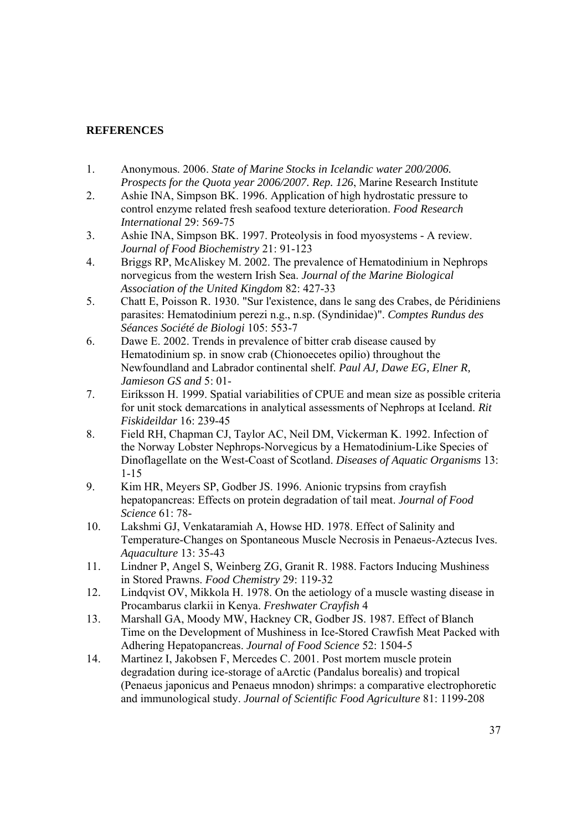### **REFERENCES**

- 1. Anonymous. 2006. *State of Marine Stocks in Icelandic water 200/2006. Prospects for the Quota year 2006/2007. Rep. 126*, Marine Research Institute
- 2. Ashie INA, Simpson BK. 1996. Application of high hydrostatic pressure to control enzyme related fresh seafood texture deterioration. *Food Research International* 29: 569-75
- 3. Ashie INA, Simpson BK. 1997. Proteolysis in food myosystems A review. *Journal of Food Biochemistry* 21: 91-123
- 4. Briggs RP, McAliskey M. 2002. The prevalence of Hematodinium in Nephrops norvegicus from the western Irish Sea. *Journal of the Marine Biological Association of the United Kingdom* 82: 427-33
- 5. Chatt E, Poisson R. 1930. "Sur l'existence, dans le sang des Crabes, de Péridiniens parasites: Hematodinium perezi n.g., n.sp. (Syndinidae)". *Comptes Rundus des Séances Société de Biologi* 105: 553-7
- 6. Dawe E. 2002. Trends in prevalence of bitter crab disease caused by Hematodinium sp. in snow crab (Chionoecetes opilio) throughout the Newfoundland and Labrador continental shelf. *Paul AJ, Dawe EG, Elner R, Jamieson GS and* 5: 01-
- 7. Eiríksson H. 1999. Spatial variabilities of CPUE and mean size as possible criteria for unit stock demarcations in analytical assessments of Nephrops at Iceland. *Rit Fiskideildar* 16: 239-45
- 8. Field RH, Chapman CJ, Taylor AC, Neil DM, Vickerman K. 1992. Infection of the Norway Lobster Nephrops-Norvegicus by a Hematodinium-Like Species of Dinoflagellate on the West-Coast of Scotland. *Diseases of Aquatic Organisms* 13: 1-15
- 9. Kim HR, Meyers SP, Godber JS. 1996. Anionic trypsins from crayfish hepatopancreas: Effects on protein degradation of tail meat. *Journal of Food Science* 61: 78-
- 10. Lakshmi GJ, Venkataramiah A, Howse HD. 1978. Effect of Salinity and Temperature-Changes on Spontaneous Muscle Necrosis in Penaeus-Aztecus Ives. *Aquaculture* 13: 35-43
- 11. Lindner P, Angel S, Weinberg ZG, Granit R. 1988. Factors Inducing Mushiness in Stored Prawns. *Food Chemistry* 29: 119-32
- 12. Lindqvist OV, Mikkola H. 1978. On the aetiology of a muscle wasting disease in Procambarus clarkii in Kenya. *Freshwater Crayfish* 4
- 13. Marshall GA, Moody MW, Hackney CR, Godber JS. 1987. Effect of Blanch Time on the Development of Mushiness in Ice-Stored Crawfish Meat Packed with Adhering Hepatopancreas. *Journal of Food Science* 52: 1504-5
- 14. Martinez I, Jakobsen F, Mercedes C. 2001. Post mortem muscle protein degradation during ice-storage of aArctic (Pandalus borealis) and tropical (Penaeus japonicus and Penaeus mnodon) shrimps: a comparative electrophoretic and immunological study. *Journal of Scientific Food Agriculture* 81: 1199-208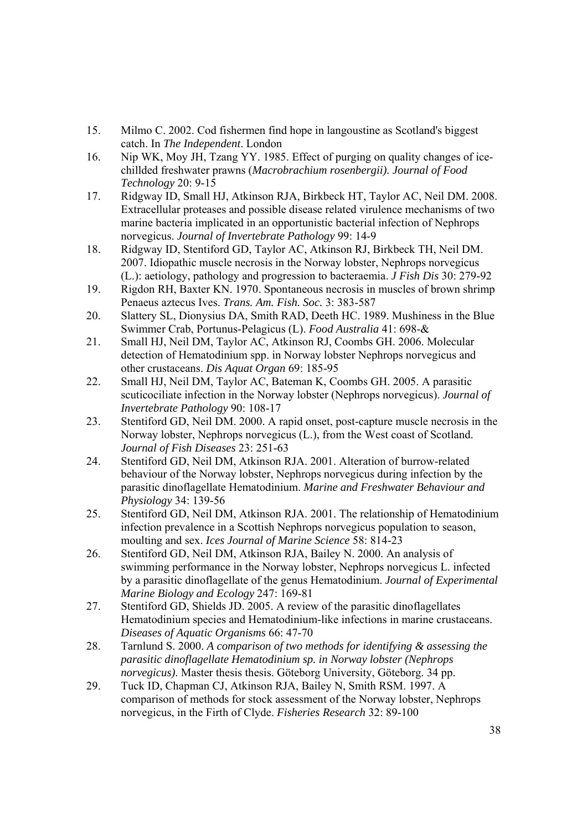- 15. Milmo C. 2002. Cod fishermen find hope in langoustine as Scotland's biggest catch. In *The Independent*. London
- 16. Nip WK, Moy JH, Tzang YY. 1985. Effect of purging on quality changes of icechillded freshwater prawns (*Macrobrachium rosenbergii). Journal of Food Technology* 20: 9-15
- 17. Ridgway ID, Small HJ, Atkinson RJA, Birkbeck HT, Taylor AC, Neil DM. 2008. Extracellular proteases and possible disease related virulence mechanisms of two marine bacteria implicated in an opportunistic bacterial infection of Nephrops norvegicus. *Journal of Invertebrate Pathology* 99: 14-9
- 18. Ridgway ID, Stentiford GD, Taylor AC, Atkinson RJ, Birkbeck TH, Neil DM. 2007. Idiopathic muscle necrosis in the Norway lobster, Nephrops norvegicus (L.): aetiology, pathology and progression to bacteraemia. *J Fish Dis* 30: 279-92
- 19. Rigdon RH, Baxter KN. 1970. Spontaneous necrosis in muscles of brown shrimp Penaeus aztecus Ives. *Trans. Am. Fish. Soc.* 3: 383-587
- 20. Slattery SL, Dionysius DA, Smith RAD, Deeth HC. 1989. Mushiness in the Blue Swimmer Crab, Portunus-Pelagicus (L). *Food Australia* 41: 698-&
- 21. Small HJ, Neil DM, Taylor AC, Atkinson RJ, Coombs GH. 2006. Molecular detection of Hematodinium spp. in Norway lobster Nephrops norvegicus and other crustaceans. *Dis Aquat Organ* 69: 185-95
- 22. Small HJ, Neil DM, Taylor AC, Bateman K, Coombs GH. 2005. A parasitic scuticociliate infection in the Norway lobster (Nephrops norvegicus). *Journal of Invertebrate Pathology* 90: 108-17
- 23. Stentiford GD, Neil DM. 2000. A rapid onset, post-capture muscle necrosis in the Norway lobster, Nephrops norvegicus (L.), from the West coast of Scotland. *Journal of Fish Diseases* 23: 251-63
- 24. Stentiford GD, Neil DM, Atkinson RJA. 2001. Alteration of burrow-related behaviour of the Norway lobster, Nephrops norvegicus during infection by the parasitic dinoflagellate Hematodinium. *Marine and Freshwater Behaviour and Physiology* 34: 139-56
- 25. Stentiford GD, Neil DM, Atkinson RJA. 2001. The relationship of Hematodinium infection prevalence in a Scottish Nephrops norvegicus population to season, moulting and sex. *Ices Journal of Marine Science* 58: 814-23
- 26. Stentiford GD, Neil DM, Atkinson RJA, Bailey N. 2000. An analysis of swimming performance in the Norway lobster, Nephrops norvegicus L. infected by a parasitic dinoflagellate of the genus Hematodinium. *Journal of Experimental Marine Biology and Ecology* 247: 169-81
- 27. Stentiford GD, Shields JD. 2005. A review of the parasitic dinoflagellates Hematodinium species and Hematodinium-like infections in marine crustaceans. *Diseases of Aquatic Organisms* 66: 47-70
- 28. Tarnlund S. 2000. *A comparison of two methods for identifying & assessing the parasitic dinoflagellate Hematodinium sp. in Norway lobster (Nephrops norvegicus)*. Master thesis thesis. Göteborg University, Göteborg. 34 pp.
- 29. Tuck ID, Chapman CJ, Atkinson RJA, Bailey N, Smith RSM. 1997. A comparison of methods for stock assessment of the Norway lobster, Nephrops norvegicus, in the Firth of Clyde. *Fisheries Research* 32: 89-100